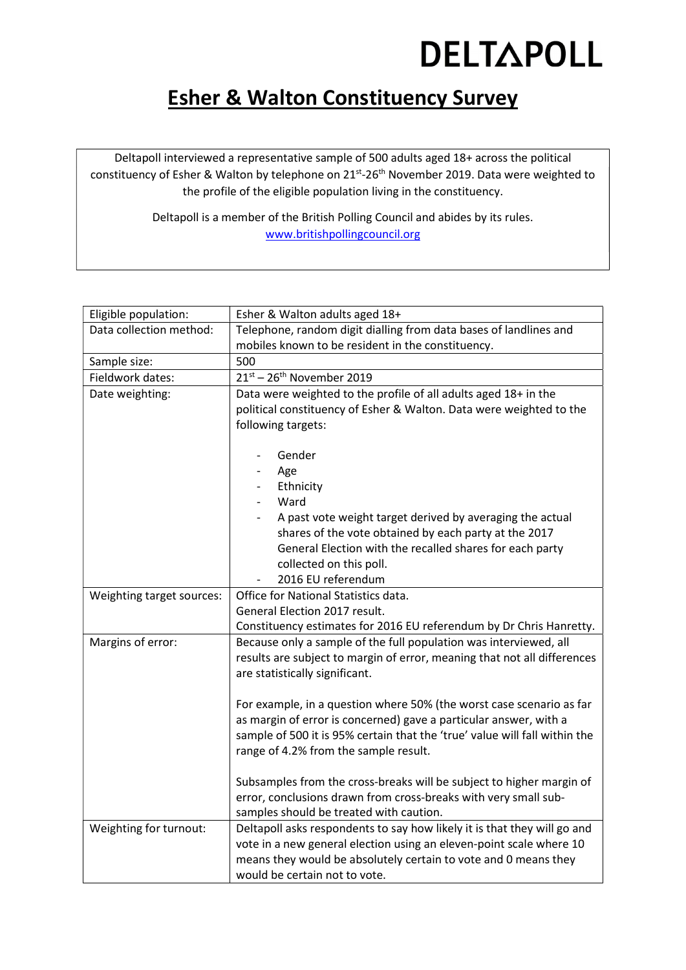### DELTAPOLL

### Esher & Walton Constituency Survey

Deltapoll interviewed a representative sample of 500 adults aged 18+ across the political constituency of Esher & Walton by telephone on 21st-26<sup>th</sup> November 2019. Data were weighted to the profile of the eligible population living in the constituency.

> Deltapoll is a member of the British Polling Council and abides by its rules. www.britishpollingcouncil.org

| Eligible population:      | Esher & Walton adults aged 18+                                             |
|---------------------------|----------------------------------------------------------------------------|
| Data collection method:   | Telephone, random digit dialling from data bases of landlines and          |
|                           | mobiles known to be resident in the constituency.                          |
| Sample size:              | 500                                                                        |
| Fieldwork dates:          | $21^{st}$ – $26^{th}$ November 2019                                        |
| Date weighting:           | Data were weighted to the profile of all adults aged 18+ in the            |
|                           | political constituency of Esher & Walton. Data were weighted to the        |
|                           | following targets:                                                         |
|                           |                                                                            |
|                           | Gender                                                                     |
|                           | Age                                                                        |
|                           | Ethnicity                                                                  |
|                           | Ward                                                                       |
|                           | A past vote weight target derived by averaging the actual                  |
|                           | shares of the vote obtained by each party at the 2017                      |
|                           | General Election with the recalled shares for each party                   |
|                           | collected on this poll.<br>2016 EU referendum                              |
| Weighting target sources: | Office for National Statistics data.                                       |
|                           | General Election 2017 result.                                              |
|                           | Constituency estimates for 2016 EU referendum by Dr Chris Hanretty.        |
| Margins of error:         | Because only a sample of the full population was interviewed, all          |
|                           | results are subject to margin of error, meaning that not all differences   |
|                           | are statistically significant.                                             |
|                           |                                                                            |
|                           | For example, in a question where 50% (the worst case scenario as far       |
|                           | as margin of error is concerned) gave a particular answer, with a          |
|                           | sample of 500 it is 95% certain that the 'true' value will fall within the |
|                           | range of 4.2% from the sample result.                                      |
|                           |                                                                            |
|                           | Subsamples from the cross-breaks will be subject to higher margin of       |
|                           | error, conclusions drawn from cross-breaks with very small sub-            |
|                           | samples should be treated with caution.                                    |
| Weighting for turnout:    | Deltapoll asks respondents to say how likely it is that they will go and   |
|                           | vote in a new general election using an eleven-point scale where 10        |
|                           | means they would be absolutely certain to vote and 0 means they            |
|                           | would be certain not to vote.                                              |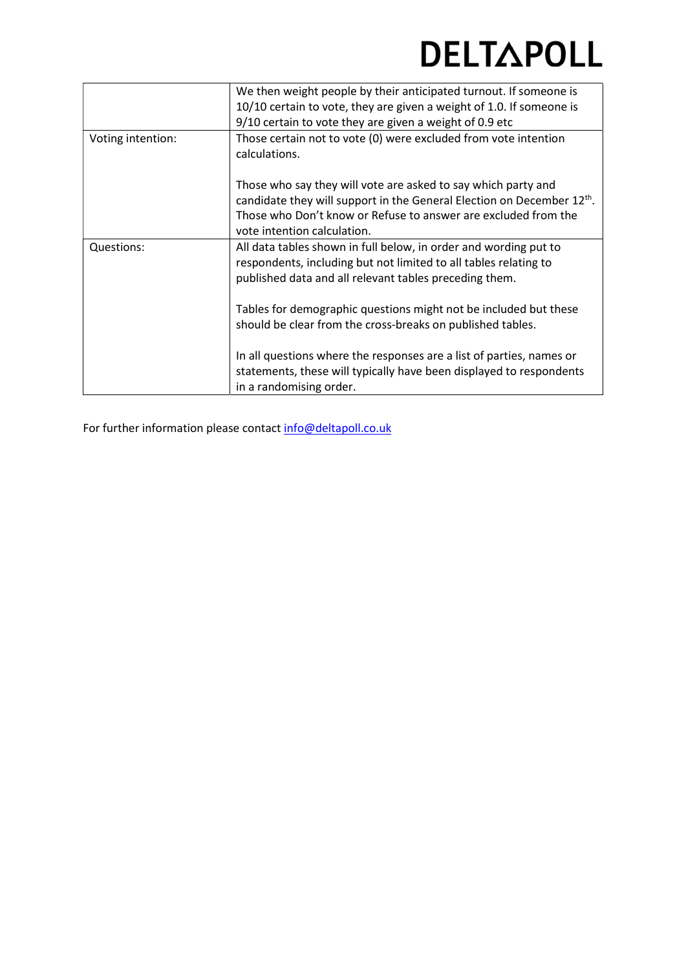### **DELTAPOLL**

|                   | We then weight people by their anticipated turnout. If someone is                                                                                                                                                                                                                                                                |
|-------------------|----------------------------------------------------------------------------------------------------------------------------------------------------------------------------------------------------------------------------------------------------------------------------------------------------------------------------------|
|                   | 10/10 certain to vote, they are given a weight of 1.0. If someone is                                                                                                                                                                                                                                                             |
|                   | 9/10 certain to vote they are given a weight of 0.9 etc                                                                                                                                                                                                                                                                          |
| Voting intention: | Those certain not to vote (0) were excluded from vote intention<br>calculations.                                                                                                                                                                                                                                                 |
|                   | Those who say they will vote are asked to say which party and<br>candidate they will support in the General Election on December 12 <sup>th</sup> .<br>Those who Don't know or Refuse to answer are excluded from the<br>vote intention calculation.                                                                             |
| Questions:        | All data tables shown in full below, in order and wording put to<br>respondents, including but not limited to all tables relating to<br>published data and all relevant tables preceding them.<br>Tables for demographic questions might not be included but these<br>should be clear from the cross-breaks on published tables. |
|                   | In all questions where the responses are a list of parties, names or<br>statements, these will typically have been displayed to respondents<br>in a randomising order.                                                                                                                                                           |

For further information please contact info@deltapoll.co.uk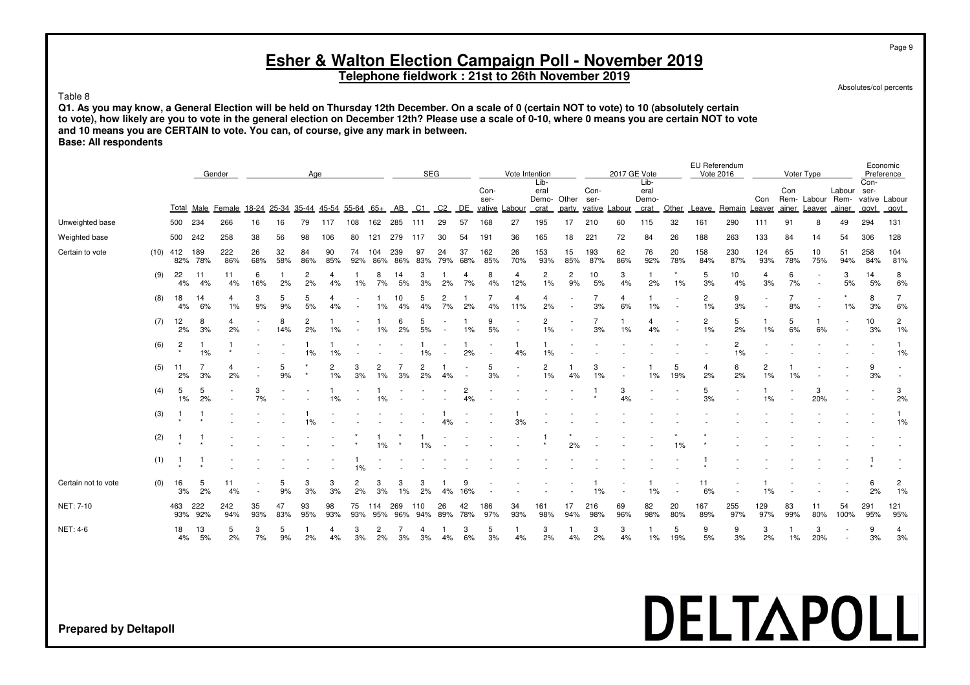**Telephone fieldwork : 21st to 26th November 2019**

Absolutes/col percents

#### Table 8

**Q1. As you may know, a General Election will be held on Thursday 12th December. On a scale of 0 (certain NOT to vote) to 10 (absolutely certain to vote), how likely are you to vote in the general election on December 12th? Please use a scale of 0-10, where 0 means you are certain NOT to vote and 10 means you are CERTAIN to vote. You can, of course, give any mark in between. Base: All respondents**

|                              |     |                   |                    | Gender             |           |           | Age                  |                   |                      |                      |            |            | SEG            |           |            |               | Vote Intention       |                      |                      | 2017 GE Vote         |                      |           |                      | EU Referendum<br>Vote 2016 |            | Voter Type                |                          |                          | Economic<br>Preference |                          |
|------------------------------|-----|-------------------|--------------------|--------------------|-----------|-----------|----------------------|-------------------|----------------------|----------------------|------------|------------|----------------|-----------|------------|---------------|----------------------|----------------------|----------------------|----------------------|----------------------|-----------|----------------------|----------------------------|------------|---------------------------|--------------------------|--------------------------|------------------------|--------------------------|
|                              |     |                   |                    |                    |           |           |                      |                   |                      |                      |            |            |                |           |            |               | Lib-                 |                      |                      |                      | Lib-                 |           |                      |                            |            |                           |                          |                          | Con-                   |                          |
|                              |     |                   |                    |                    |           |           |                      |                   |                      |                      |            |            |                |           | Con-       |               | eral                 |                      | Con-                 |                      | eral                 |           |                      |                            |            | Con                       |                          | Labour ser-              |                        |                          |
|                              |     |                   | Total Male         | Female 18-24 25-34 |           |           |                      | 35-44 45-54 55-64 |                      | $65+$                | AB         | C1         | C <sub>2</sub> | DE        | ser-       | vative Labour | Demo- Other<br>crat  | party                | ser-                 | vative Labour        | Demo-<br>crat        | Other     | Leave                | Remain Leaver              | Con        | Rem- Labour Rem-<br>ainer | Leaver                   | ainer                    | vative Labour<br>govt  | govt                     |
| Unweighted base              |     | 500 234           |                    | 266                | 16        | 16        | 79                   | 117               | 108                  | 162                  | 285        | 111        | 29             | 57        | 168        | 27            | 195                  | 17                   | 210                  | 60                   | 115                  | 32        | 161                  | 290                        | 111        | 91                        | -8                       | 49                       | 294                    | 131                      |
| Weighted base                |     | 500               | 242                | 258                | 38        | 56        | 98                   | 106               | 80                   | 121                  | 279        | -117       | 30             | 54        | 191        | 36            | 165                  | 18                   | 221                  | 72                   | 84                   | 26        | 188                  | 263                        | 133        | 84                        | 14                       | 54                       | 306                    | 128                      |
| Certain to vote              |     | $(10)$ 412<br>82% | 189<br>78%         | 222<br>86%         | 26<br>68% | 32<br>58% | 84<br>86%            | 90<br>85%         | 74<br>92%            | 104<br>86%           | 239<br>86% | 97<br>83%  | 24<br>79%      | 37<br>68% | 162<br>85% | 26<br>70%     | 153<br>93%           | 15<br>85%            | 193<br>87%           | 62<br>86%            | 76<br>92%            | 20<br>78% | 158<br>84%           | 230<br>87%                 | 124<br>93% | 65<br>78%                 | 10<br>75%                | 51<br>94%                | 258<br>84%             | 104<br>81%               |
|                              | (9) | 22<br>4%          | 11<br>4%           | 11<br>4%           | 6<br>16%  | 1<br>2%   | 2<br>2%              | 4<br>4%           | 1%                   | 8<br>7%              | 14<br>5%   | 3<br>3%    | 2%             | 4<br>7%   | 8<br>4%    | 4<br>12%      | $\overline{c}$<br>1% | $\overline{c}$<br>9% | 10<br>5%             | 3<br>4%              | -1<br>2%             | 1%        | 5<br>3%              | 10<br>4%                   | 4<br>3%    | 6<br>7%                   | $\overline{\phantom{a}}$ | 3<br>5%                  | 14<br>5%               | 8<br>6%                  |
|                              | (8) | 18<br>4%          | 14<br>6%           | 4<br>1%            | 3<br>9%   | 5<br>9%   | 5<br>5%              | 4<br>4%           |                      | 1%                   | 10<br>4%   | 5<br>4%    | 2<br>7%        | 2%        | 4%         | 4<br>11%      | 4<br>2%              |                      | 3%                   | $\overline{4}$<br>6% | 1%                   |           | $\overline{2}$<br>1% | 9<br>3%                    |            | 8%                        |                          | 1%                       | 8<br>3%                | $\overline{7}$<br>6%     |
|                              | (7) | 12<br>2%          | 8<br>3%            | 4<br>2%            |           | 8<br>14%  | $\overline{c}$<br>2% | 1%                |                      | 1%                   | 6<br>2%    | 5<br>$5%$  |                | -1<br>1%  | 9<br>5%    |               | $\overline{c}$<br>1% |                      | $\overline{7}$<br>3% | 1%                   | $\overline{4}$<br>4% |           | $\overline{c}$<br>1% | 5<br>2%                    | 1<br>1%    | 5<br>6%                   | -1<br>6%                 | $\overline{\phantom{a}}$ | 10<br>3%               | $\overline{2}$<br>1%     |
|                              | (6) | $\frac{2}{x}$     | $\mathbf{1}$<br>1% | -1                 |           |           | 1%                   | 1%                |                      |                      |            | 1%         |                | 2%        |            | 4%            | 1%                   |                      |                      |                      |                      |           |                      | $\overline{2}$<br>1%       |            |                           |                          |                          |                        | $\mathbf{1}$<br>1%       |
|                              | (5) | 11<br>2%          | 7<br>3%            | 4<br>2%            |           | 5<br>9%   |                      | 2<br>1%           | 3<br>3%              | 2<br>$1\%$           | 3%         | 2<br>2%    | 4%             |           | 5<br>3%    |               | 2<br>$1\%$           | 4%                   | 3<br>1%              |                      | 1%                   | 5<br>19%  | 4<br>2%              | 6<br>2%                    | 2<br>1%    | 1%                        |                          |                          | 9<br>3%                | $\overline{\phantom{a}}$ |
|                              | (4) | 5<br>1%           | 5<br>2%            |                    | 3<br>7%   |           |                      | 1%                |                      | 1%                   |            |            |                | 2<br>4%   |            |               |                      |                      |                      | 3<br>4%              |                      |           | 5<br>3%              |                            | 1<br>1%    |                           | 3<br>20%                 |                          |                        | 3<br>2%                  |
|                              | (3) | $\mathbf{1}$      |                    |                    |           |           | 1%                   |                   |                      |                      |            |            | 4%             |           |            | 3%            |                      |                      |                      |                      |                      |           |                      |                            |            |                           |                          |                          |                        | $\mathbf{1}$<br>1%       |
|                              | (2) | $\overline{1}$    |                    |                    |           |           |                      |                   |                      | 1%                   |            | 1%         |                |           |            |               |                      | 2%                   |                      |                      |                      | 1%        |                      |                            |            |                           |                          |                          |                        |                          |
|                              | (1) | $\overline{1}$    | -1                 |                    |           |           |                      |                   | 1%                   |                      |            |            |                |           |            |               |                      |                      |                      |                      |                      |           |                      |                            |            |                           |                          |                          |                        |                          |
| Certain not to vote          | (0) | 16<br>3%          | 5<br>2%            | 11<br>4%           |           | 5<br>9%   | 3<br>3%              | 3<br>3%           | $\overline{c}$<br>2% | 3<br>3%              | 3<br>1%    | 3<br>2%    | 4%             | 9<br>16%  |            |               |                      |                      | 1%                   |                      | 1%                   |           | 11<br>6%             |                            | 1%         |                           |                          |                          | 6<br>2%                | $\overline{c}$<br>1%     |
| NET: 7-10                    |     | 463<br>93%        | 222<br>92%         | 242<br>94%         | 35<br>93% | 47<br>83% | 93<br>95%            | 98<br>93%         | 75<br>93%            | 114<br>95%           | 269<br>96% | 110<br>94% | 26<br>89%      | 42<br>78% | 186<br>97% | 34<br>93%     | 161<br>98%           | 17<br>94%            | 216<br>98%           | 69<br>96%            | 82<br>98%            | 20<br>80% | 167<br>89%           | 255<br>97%                 | 129<br>97% | 83<br>99%                 | 11<br>80%                | 54<br>100%               | 291<br>95%             | 121<br>95%               |
| <b>NET: 4-6</b>              |     | 18<br>4%          | 13<br>5%           | 5<br>2%            | 3<br>7%   | 5<br>9%   | 2%                   | 4<br>4%           | 3<br>3%              | $\overline{c}$<br>2% | 3%         | 4<br>3%    | 4%             | 3<br>6%   | 5<br>3%    | 4%            | 3<br>2%              | -1<br>4%             | 3<br>2%              | 3<br>4%              | -1<br>1%             | 5<br>19%  | 9<br>5%              | 9<br>3%                    | 3<br>2%    | $1\%$                     | 3<br>20%                 | $\sim$<br>$\sim$         | 9<br>3%                | 4<br>3%                  |
|                              |     |                   |                    |                    |           |           |                      |                   |                      |                      |            |            |                |           |            |               |                      |                      |                      |                      |                      |           |                      |                            |            |                           |                          |                          |                        |                          |
|                              |     |                   |                    |                    |           |           |                      |                   |                      |                      |            |            |                |           |            |               |                      |                      |                      |                      |                      |           |                      |                            |            |                           |                          |                          |                        |                          |
|                              |     |                   |                    |                    |           |           |                      |                   |                      |                      |            |            |                |           |            |               |                      |                      |                      |                      |                      |           |                      |                            |            |                           |                          |                          |                        |                          |
|                              |     |                   |                    |                    |           |           |                      |                   |                      |                      |            |            |                |           |            |               |                      |                      |                      |                      |                      |           |                      | <b>ELTAPO</b>              |            |                           |                          |                          |                        |                          |
| <b>Prepared by Deltapoll</b> |     |                   |                    |                    |           |           |                      |                   |                      |                      |            |            |                |           |            |               |                      |                      |                      |                      |                      |           |                      |                            |            |                           |                          |                          |                        |                          |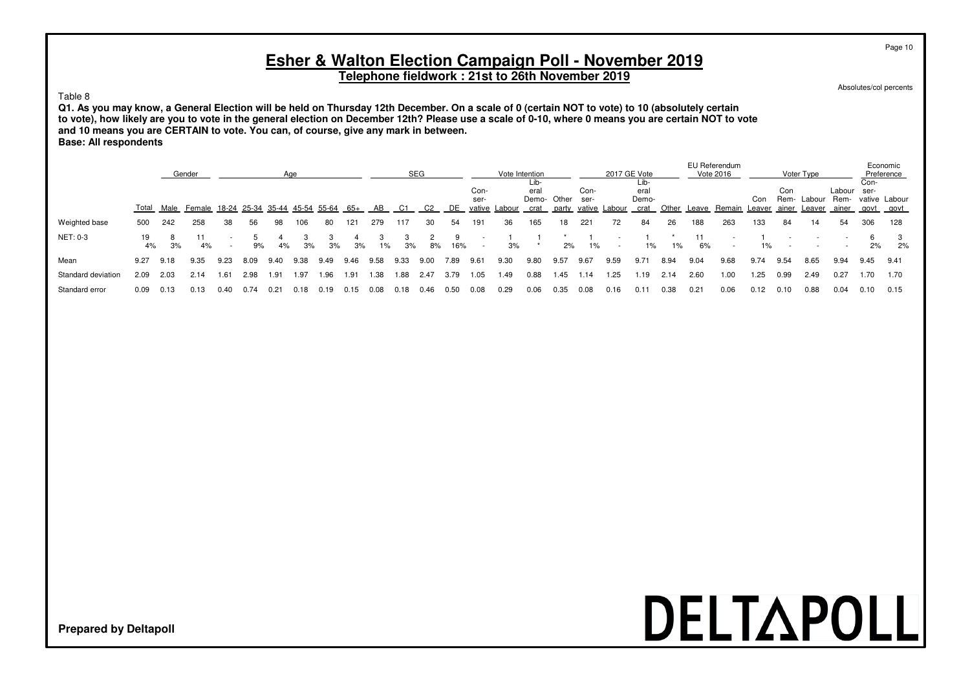**Telephone fieldwork : 21st to 26th November 2019**

Absolutes/col percents

Page 10

#### Table 8

**Q1. As you may know, a General Election will be held on Thursday 12th December. On a scale of 0 (certain NOT to vote) to 10 (absolutely certain to vote), how likely are you to vote in the general election on December 12th? Please use a scale of 0-10, where 0 means you are certain NOT to vote and 10 means you are CERTAIN to vote. You can, of course, give any mark in between. Base: All respondents**

|                    | Gender<br>Age |         |                                |      |      |      |      |       |      |      |      | <b>SEG</b>     |          |                        |        | Vote Intention                      |       |                        |        | 2017 GE Vote                  |       |      | EU Referendum<br>Vote 2016 |       |                      | Voter Type       |                                    |              | Economic<br>Preference |
|--------------------|---------------|---------|--------------------------------|------|------|------|------|-------|------|------|------|----------------|----------|------------------------|--------|-------------------------------------|-------|------------------------|--------|-------------------------------|-------|------|----------------------------|-------|----------------------|------------------|------------------------------------|--------------|------------------------|
|                    | Total         | Male    | Female 18-24 25-34 35-44 45-54 |      |      |      |      | 55-64 | 65+  | AB   | C1   | C <sub>2</sub> | DE.      | Con-<br>ser-<br>vative | Labour | Lib-<br>eral<br>Demo- Other<br>crat | party | Con-<br>ser-<br>vative | Labour | Lib-<br>eral<br>Demo-<br>crat | Other |      | Leave Remain Leaver        | Con   | Con<br>Rem-<br>ainer | Labour<br>Leaver | Labour ser-<br>Rem-<br>ainer       | Con-<br>govt | vative Labour<br>govt  |
| Weighted base      | 500           | 242     | 258                            | 38   | 56   | 98   | 106  | 80    | 121  | 279  | 117  | 30             | 54       | 191                    | 36     | 165                                 | 18    | 221                    | 72     | 84                            | 26    | 188  | 263                        | 133   | 84                   | 14               | 54                                 | 306          | 128                    |
| NET: 0-3           | 4%            | 8<br>3% | 4%                             |      | 9%   | 4%   | 3%   | 3%    | 3%   | 1%   | 3%   | 8%             | q<br>16% |                        | 3%     |                                     | 2%    | $1\%$                  |        | 1%                            | 1%    | 6%   | $\overline{\phantom{a}}$   | $1\%$ |                      |                  | $\sim$<br>$\overline{\phantom{a}}$ | 2%           | 2%                     |
| Mean               | 9.27          | 9.18    | 9.35                           | 9.23 | 8.09 | 9.40 | 9.38 | 9.49  | 9.46 | 9.58 | 9.33 | 9.00           | 7.89     | 9.61                   | 9.30   | 9.80                                | 9.57  | 9.67                   | 9.59   | 9.71                          | 8.94  | 9.04 | 9.68                       | 9.74  | 9.54                 | 8.65             | 9.94                               | 9.45         | 9.41                   |
| Standard deviation | 2.09          | 2.03    | 2.14                           | 1.61 | 2.98 | 1.91 | 1.97 | 1.96  | .91  | 1.38 | 1.88 | 2.47           | 3.79     | . .05                  | 1.49   | 0.88                                | .45   | .14                    | 1.25   | 1.19                          | 2.14  | 2.60 | 1.00                       | 1.25  | 0.99                 | 2.49             | 0.27                               | 1.70         | 1.70                   |
| Standard error     | 0.09          | 0.13    | 0.13                           | 0.40 | 0.74 | 0.21 | 0.18 | 0.19  | 015  | 0.08 | 0.18 | 0.46           | 0.50     | 0.08                   | 0.29   | 0.06                                | 0.35  | 0.08                   | 0.16   | 0.11                          | 0.38  | 0.21 | 0.06                       | 0.12  | 0.10                 | 0.88             | 0.04                               | 0.10         | 0.15                   |

# DELTAPOLL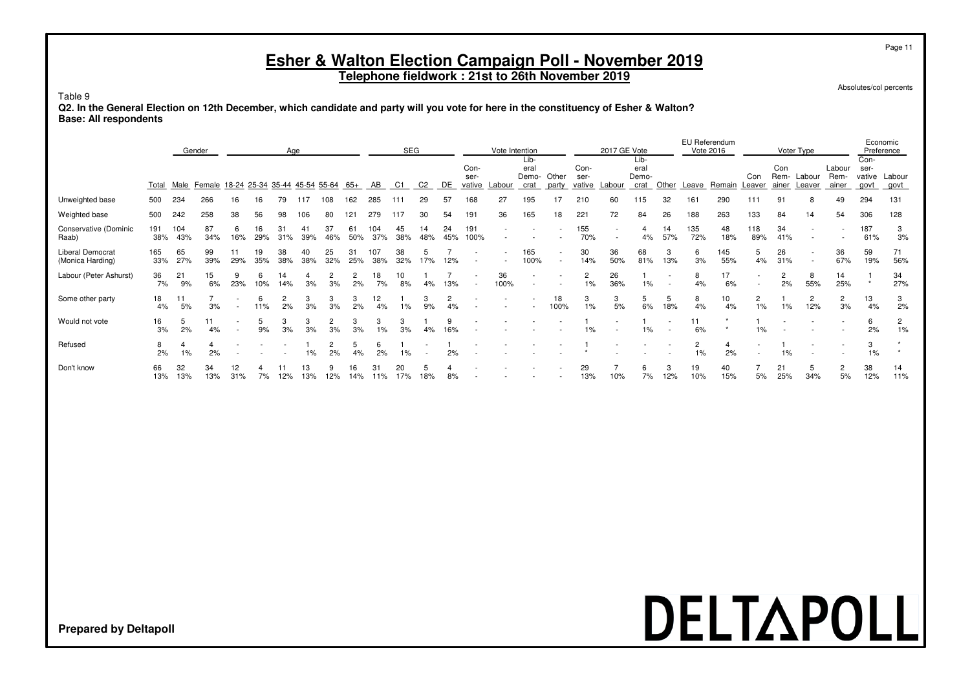**Telephone fieldwork : 21st to 26th November 2019**

Absolutes/col percents

Table 9

**Q2. In the General Election on 12th December, which candidate and party will you vote for here in the constituency of Esher & Walton? Base: All respondents**

|                                             | Gender<br>Age |            |           |                        |                   |           |           |           |           |            | <b>SEG</b> |                |           |                        |            | Vote Intention<br>Lib- |                          |                        | 2017 GE Vote | Lib-                  |           |            | EU Referendum<br>Vote 2016 |                                                      |                      | Voter Type                                           |                         | Con-                   | Economic<br>Preference |
|---------------------------------------------|---------------|------------|-----------|------------------------|-------------------|-----------|-----------|-----------|-----------|------------|------------|----------------|-----------|------------------------|------------|------------------------|--------------------------|------------------------|--------------|-----------------------|-----------|------------|----------------------------|------------------------------------------------------|----------------------|------------------------------------------------------|-------------------------|------------------------|------------------------|
|                                             | Total         | Male       | Female    |                        | 18-24 25-34 35-44 |           | 45-54     | 55-64     | 65+       | AB.        | C1         | C <sub>2</sub> | DE        | Con-<br>ser-<br>vative | Labour     | eral<br>Demo-<br>crat  | Other<br>party           | Con-<br>ser-<br>vative | Labour       | eral<br>Demo-<br>crat | Other     | Leave      | Remain                     | Con<br>Leaver                                        | Con<br>Rem-<br>ainer | Labour<br>Leaver                                     | Labour<br>Rem-<br>ainer | ser-<br>vative<br>govt | Labour<br>govt         |
| Unweighted base                             | 500           | 234        | 266       | 16                     | 16                | 79        | 117       | 108       | 162       | 285        | 111        | 29             | 57        | 168                    | 27         | 195                    |                          | 210                    | 60           | 115                   | 32        | 161        | 290                        | 111                                                  | 91                   | 8                                                    | 49                      | 294                    | 131                    |
| Weighted base                               | 500           | 242        | 258       | 38                     | 56                | 98        | 106       | 80        | 121       | 279        | 117        | 30             | 54        | 191                    | 36         | 165                    | 18                       | 221                    | 72           | 84                    | 26        | 188        | 263                        | 133                                                  | 84                   | 14                                                   | 54                      | 306                    | 128                    |
| Conservative (Dominic<br>Raab)              | 191<br>38%    | 104<br>43% | 87<br>34% | 6<br>16%               | 16<br>29%         | 31%       | 39%       | 37<br>46% | 61<br>50% | 104<br>37% | 45<br>38%  | 14<br>48%      | 24<br>45% | 191<br>100%            |            |                        |                          | 155<br>70%             |              | 4%                    | 14<br>57% | 135<br>72% | 48<br>18%                  | 118<br>89%                                           | 34<br>41%            |                                                      |                         | 187<br>61%             | 3<br>3%                |
| <b>Liberal Democrat</b><br>(Monica Harding) | 165<br>33%    | 65<br>27%  | 99<br>39% | 29%                    | 19<br>35%         | 38<br>38% | 40<br>38% | 25<br>32% | 31<br>25% | 107<br>38% | 38<br>32%  | 17%            | 12%       |                        |            | 165<br>100%            | $\overline{\phantom{a}}$ | 30<br>14%              | 36<br>50%    | 68<br>81%             | 3<br>13%  | 6<br>3%    | 145<br>55%                 | 5<br>4%                                              | 26<br>31%            | $\overline{\phantom{a}}$<br>$\overline{\phantom{a}}$ | 36<br>67%               | 59<br>19%              | 71<br>56%              |
| Labour (Peter Ashurst)                      | 36<br>7%      | 21<br>9%   | 15<br>6%  | 23%                    | 6<br>10%          | 14<br>14% | 3%        | 3%        | 2%        | 18<br>7%   | 10<br>8%   | 4%             | 13%       |                        | 36<br>100% |                        |                          | 2<br>$1\%$             | 26<br>36%    | $1\%$                 |           | 8<br>4%    | 17<br>6%                   | $\overline{\phantom{a}}$<br>$\overline{\phantom{a}}$ | $\overline{2}$<br>2% | 8<br>55%                                             | 14<br>25%               | $\star$                | 34<br>27%              |
| Some other party                            | 18<br>4%      | 11<br>5%   | 3%        |                        | 6<br>11%          | 2%        | 3<br>3%   | 3<br>3%   | 2%        | 12<br>4%   | 1%         | 3<br>9%        | 2<br>4%   |                        |            |                        | 18<br>100%               | 3<br>1%                | 3<br>5%      | 5<br>6%               | 18%       | 8<br>4%    | 10<br>4%                   | 2<br>1%                                              | 1%                   | $\overline{2}$<br>12%                                | $\mathbf{2}$<br>3%      | 13<br>4%               | 3<br>2%                |
| Would not vote                              | 16<br>3%      | 5<br>2%    | 11<br>4%  |                        | 5<br>9%           | 3%        | 3<br>3%   | 3%        | 3%        | 1%         | 3<br>3%    | 4%             | 9<br>16%  |                        |            |                        |                          | $1\%$                  |              | 1%                    |           | 11<br>6%   |                            | 1%                                                   |                      |                                                      |                         | 6<br>2%                | 2<br>1%                |
| Refused                                     | 8<br>2%       | 1%         | 2%        |                        |                   |           | 1%        | 2%        | 4%        | 2%         | 1%         |                | 2%        |                        |            |                        |                          |                        |              |                       |           | 2<br>1%    | 2%                         | $\overline{\phantom{a}}$                             | 1%                   |                                                      |                         | 3<br>1%                |                        |
| Don't know                                  | 66<br>13%     | 32<br>13%  | 34<br>13% | 12 <sup>2</sup><br>31% | 7%                | 12%       | 13<br>13% | 12%       | 16<br>14% | 31<br>11%  | 20<br>17%  | 18%            | 8%        |                        |            |                        |                          | 29<br>13%              | 10%          | 6<br>7%               | 12%       | 19<br>10%  | 40<br>15%                  | 5%                                                   | 21<br>25%            | 5<br>34%                                             | 2<br>5%                 | 38<br>12%              | 14<br>11%              |

# DELTAPOLL

**Prepared by Deltapoll**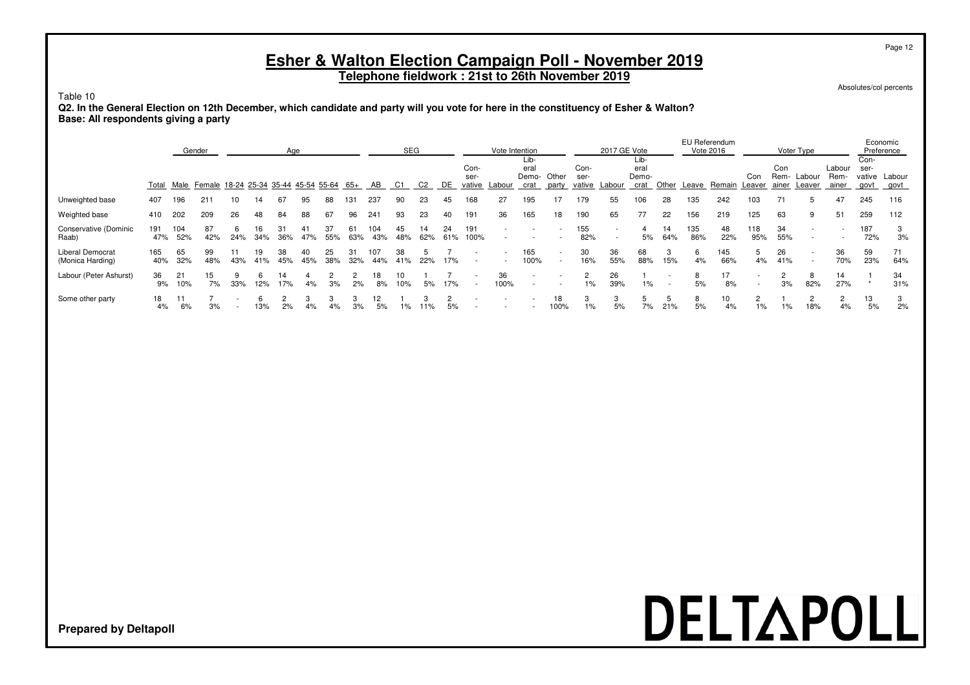**Telephone fieldwork : 21st to 26th November 2019**

Absolutes/col percents

#### Table 10

**Q2. In the General Election on 12th December, which candidate and party will you vote for here in the constituency of Esher & Walton? Base: All respondents giving a party**

|                                             | Gender<br>Age |            |                                           |     |            |     |     |           |     |            | <b>SEG</b>    |                |           |                          | Vote Intention | Lib-                     |                |                        | 2017 GE Vote             | Lib-                  |           |            | EU Referendum<br>Vote 2016 |                          |                      | Voter Type               |                         | Con-                   | Economic<br>Preference |
|---------------------------------------------|---------------|------------|-------------------------------------------|-----|------------|-----|-----|-----------|-----|------------|---------------|----------------|-----------|--------------------------|----------------|--------------------------|----------------|------------------------|--------------------------|-----------------------|-----------|------------|----------------------------|--------------------------|----------------------|--------------------------|-------------------------|------------------------|------------------------|
|                                             |               |            | Total Male Female 18-24 25-34 35-44 45-54 |     |            |     |     | 55-64     | 65+ | AB         | C1            | C <sub>2</sub> | DE        | Con-<br>ser-<br>vative   | Labour         | eral<br>Demo-<br>crat    | Other<br>party | Con-<br>ser-<br>vative | Labour                   | eral<br>Demo-<br>crat | Other     | Leave      | Remain                     | Con<br>Leaver            | Con<br>Rem-<br>ainer | Labour<br>Leaver         | Labour<br>Rem-<br>ainer | ser-<br>vative<br>govt | Labour<br>govt         |
| Unweighted base                             | 407           | 196        | 211                                       |     | 14.        | 67  | 95  | 88        | 131 | 237        | 90            | 23             | 45        | 168                      | 27             | 195                      |                | 179                    | 55                       | 106                   | 28        | 135        | 242                        | 103                      | 71                   | b.                       | 47                      | 245                    | 116                    |
| Weighted base                               | 410           | 202        | 209                                       | 26  | 48         | 84  | 88  | 67        | 96  | 241        | 93            | 23             | 40        | 191                      | 36             | 165                      | 18             | 190                    | 65                       | 77                    | 22        | 156        | 219                        | 125                      | 63                   | 9                        | 51                      | 259                    | 112                    |
| Conservative (Dominic<br>Raab)              | 191<br>47%    | 104<br>52% | 87<br>42%                                 | 24% | 16.<br>34% | 36% | 47% | 55%       | 63% | 104<br>43% | 45<br>48%     | 14<br>62%      | 24<br>61% | 191<br>100%              |                |                          |                | 155<br>82%             | $\overline{\phantom{a}}$ | 5%                    | 14<br>64% | 135<br>86% | 48<br>22%                  | 118<br>95%               | 34<br>55%            | $\overline{\phantom{a}}$ |                         | 187<br>72%             | 3%                     |
| <b>Liberal Democrat</b><br>(Monica Harding) | 165<br>40%    | 65<br>32%  | 99<br>48%                                 | 43% | 19<br>41%  | 45% | 45% | 25<br>38% | 32% | 107<br>44% | 38<br>41%     | 22%            | 17%       | $\overline{\phantom{a}}$ |                | 165<br>100%              | $\sim$         | 30<br>16%              | 36<br>55%                | 68<br>88%             | 15%       | 4%         | 145<br>66%                 | 5<br>4%                  | 26<br>41%            | $\overline{\phantom{a}}$ | 36<br>70%               | 59<br>23%              | 71<br>64%              |
| Labour (Peter Ashurst)                      | 36<br>9%      | 21<br>10%  | 15<br>7%                                  | 33% | 12%        | 17% | 4%  | 3%        | 2%  | 18<br>8%   | 10<br>10%     | 5%             | 17%       |                          | 36<br>100%     | $\overline{\phantom{a}}$ |                | $1\%$                  | 26<br>39%                | 1%                    |           | 5%         | 17<br>8%                   | $\overline{\phantom{a}}$ | 3%                   | 8<br>82%                 | 14<br>27%               |                        | 34<br>31%              |
| Some other party                            | 18<br>4%      | 6%         | 3%                                        |     | 13%        | 2%  | 4%  | 4%        |     | 12<br>5%   | $\frac{9}{6}$ | 1%             | 5%        |                          |                |                          | 18<br>100%     | 1%                     | 5%                       | 7%                    | 21%       | 5%         | 10<br>4%                   | $\overline{2}$<br>$1\%$  | $1\%$                | 18%                      | $\overline{2}$<br>4%    | 13<br>5%               | 3<br>2%                |

## DELTAPOLL

**Prepared by Deltapoll**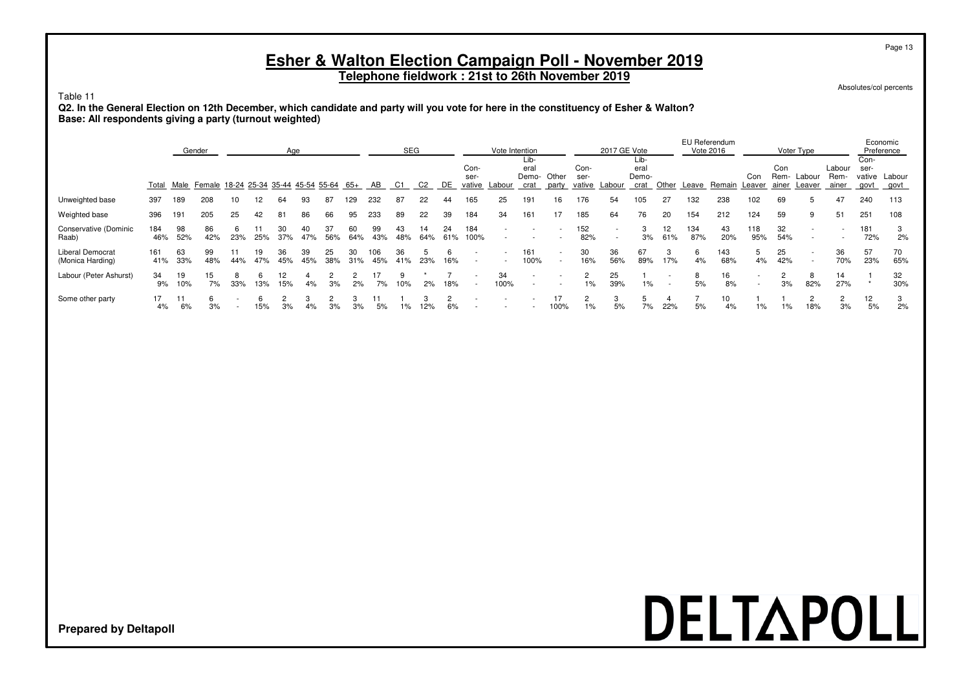**Telephone fieldwork : 21st to 26th November 2019**

Absolutes/col percents

#### Table 11

**Q2. In the General Election on 12th December, which candidate and party will you vote for here in the constituency of Esher & Walton? Base: All respondents giving a party (turnout weighted)**

|                                             | Gender<br>Age |           |                                                 |     |           |           |           |           |           |            | <b>SEG</b> |                |           |                        | Vote Intention | Lib-                  |                |                        | 2017 GE Vote | Lib-                  |           |            | EU Referendum<br>Vote 2016 |                                 |                      | Voter Type               |                         | Con-                   | Economic<br>Preference |
|---------------------------------------------|---------------|-----------|-------------------------------------------------|-----|-----------|-----------|-----------|-----------|-----------|------------|------------|----------------|-----------|------------------------|----------------|-----------------------|----------------|------------------------|--------------|-----------------------|-----------|------------|----------------------------|---------------------------------|----------------------|--------------------------|-------------------------|------------------------|------------------------|
|                                             |               |           | Total Male Female 18-24 25-34 35-44 45-54 55-64 |     |           |           |           |           | 65+       | AB         | C1         | C <sub>2</sub> | DE        | Con-<br>ser-<br>vative | Labour         | eral<br>Demo-<br>crat | Other<br>party | Con-<br>ser-<br>vative | Labour       | eral<br>Demo-<br>crat | Other     | Leave      | Remain                     | Con<br>Leaver                   | Con<br>Rem-<br>ainer | Labour<br>Leaver         | Labour<br>Rem-<br>ainer | ser-<br>vative<br>govt | Labour<br>govt         |
| Unweighted base                             | 397           | 189       | 208                                             | 10  | 12        | 64        | 93        | 87        | 129       | 232        | 87         | 22             | 44        | 165                    | 25             | 191                   | 16             | 176                    | 54           | 105                   | 27        | 132        | 238                        | 102                             | 69                   | 5                        | 47                      | 240                    | 113                    |
| Weighted base                               | 396           | 191       | 205                                             | 25  | 42        | 81        | 86        | 66        | 95        | 233        | 89         | 22             | 39        | 184                    | 34             | 161                   | 17             | 185                    | 64           | 76                    | 20        | 154        | 212                        | 124                             | 59                   | 9                        | 51                      | 251                    | 108                    |
| Conservative (Dominic<br>Raab)              | 184<br>46%    | 98<br>52% | 86<br>42%                                       | 23% | 25%       | 37%       | 47%       | 56%       | 60<br>64% | 99<br>43%  | 43<br>48%  | 14<br>64%      | 24<br>61% | 184<br>100%            |                |                       |                | 152<br>82%             |              | 3<br>3%               | 12<br>61% | 134<br>87% | 43<br>20%                  | 118<br>95%                      | 32<br>54%            |                          |                         | 181<br>72%             | 3<br>2%                |
| <b>Liberal Democrat</b><br>(Monica Harding) | 161<br>41%    | 63<br>33% | 99<br>48%                                       | 44% | 19<br>47% | 36<br>45% | 39<br>45% | 25<br>38% | 31%       | 106<br>45% | 36<br>41%  | 23%            | 16%       |                        | $\overline{a}$ | 161<br>100%           | $\sim$         | 30<br>16%              | 36<br>56%    | 67<br>89%             | 17%       | 6.<br>4%   | 143<br>68%                 | 5<br>4%                         | 25<br>42%            | $\overline{\phantom{a}}$ | 36<br>70%               | 57<br>23%              | 70<br>65%              |
| Labour (Peter Ashurst)                      | 34<br>9%      | 19<br>10% | 15<br>7%                                        | 33% | 13%       | 15%       | 4%        | 3%        | 2%        | 7%         | 10%        | 2%             | 18%       |                        | 34<br>100%     |                       |                | $1\%$                  | 25<br>39%    | 1%                    |           | 8<br>5%    | 16<br>8%                   | $\overline{\phantom{a}}$<br>. . | 3%                   | 8<br>82%                 | 14<br>27%               |                        | 32<br>30%              |
| Some other party                            | 4%            | 6%        | 3%                                              |     | 15%       | 3%        | 4%        | 3%        | 3%        | 5%         | 1%         | 12%            | 6%        |                        |                |                       | 100%           | $1\%$                  | 5%           | 7%                    | 22%       | 5%         | 10<br>4%                   | $1\%$                           | 1%                   | 18%                      | 3%                      | 12<br>5%               | 3<br>2%                |

## DELTAPOLL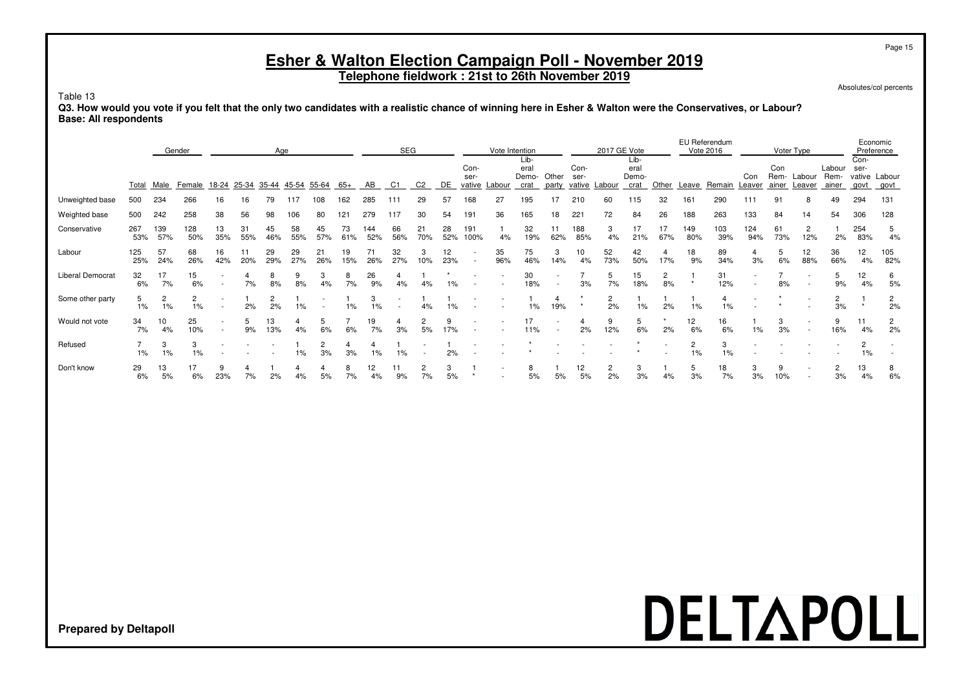**Telephone fieldwork : 21st to 26th November 2019**

Absolutes/col percents

#### Table 13

**Q3. How would you vote if you felt that the only two candidates with a realistic chance of winning here in Esher & Walton were the Conservatives, or Labour? Base: All respondents**

|                         |            |            | Gender     |             |           |                          | Age                  |           |           |            | <b>SEG</b>               |                |           |                                    | Vote Intention           |                                     |                                    |                      | 2017 GE Vote             |                               |                       |            | EU Referendum<br>Vote 2016 |                                                      |                      | Voter Type                                           |                          |                      | Economic<br>Preference                               |
|-------------------------|------------|------------|------------|-------------|-----------|--------------------------|----------------------|-----------|-----------|------------|--------------------------|----------------|-----------|------------------------------------|--------------------------|-------------------------------------|------------------------------------|----------------------|--------------------------|-------------------------------|-----------------------|------------|----------------------------|------------------------------------------------------|----------------------|------------------------------------------------------|--------------------------|----------------------|------------------------------------------------------|
|                         | Total      | Male       | Female     | 18-24 25-34 |           |                          | 35-44 45-54          | 55-64     | 65+       | AB         | C <sub>1</sub>           | C <sub>2</sub> | DE        | Con-<br>ser-<br>vative Labour      |                          | Lib-<br>eral<br>Demo- Other<br>crat |                                    | Con-<br>ser-         | party vative Labour      | Lib-<br>eral<br>Demo-<br>crat | Other                 |            | Leave Remain               | Con<br>Leaver                                        | Con<br>ainer         | Rem- Labour<br>Leaver                                | Labour<br>Rem-<br>ainer  | Con-<br>ser-<br>govt | vative Labour<br>govt                                |
| Unweighted base         | 500        | 234        | 266        | 16          | 16        | 79                       | 117                  | 108       | 162       | 285        | 111                      | 29             | 57        | 168                                | 27                       | 195                                 | 17                                 | 210                  | 60                       | 115                           | 32                    | 161        | 290                        | 111                                                  | 91                   | 8                                                    | 49                       | 294                  | 131                                                  |
| Weighted base           | 500        | 242        | 258        | 38          | 56        | 98                       | 106                  | 80        | 121       | 279        | 117                      | 30             | 54        | 191                                | 36                       | 165                                 | 18                                 | 221                  | 72                       | 84                            | 26                    | 188        | 263                        | 133                                                  | 84                   | 14                                                   | 54                       | 306                  | 128                                                  |
| Conservative            | 267<br>53% | 139<br>57% | 128<br>50% | 13<br>35%   | 31<br>55% | 45<br>46%                | 58<br>55%            | 45<br>57% | 73<br>61% | 144<br>52% | 66<br>56%                | 21<br>70%      | 28<br>52% | 191<br>100%                        | 4%                       | 32<br>19%                           | 11<br>62%                          | 188<br>85%           | 3<br>4%                  | 17<br>21%                     | 17<br>67%             | 149<br>80% | 103<br>39%                 | 124<br>94%                                           | 61<br>73%            | 2<br>12%                                             | 2%                       | 254<br>83%           | 5<br>4%                                              |
| Labour                  | 125<br>25% | 57<br>24%  | 68<br>26%  | 16<br>42%   | 11<br>20% | 29<br>29%                | 29<br>27%            | 21<br>26% | 19<br>15% | 71<br>26%  | 32<br>27%                | 3<br>10%       | 12<br>23% | $\sim$<br>$\overline{\phantom{a}}$ | 35<br>96%                | 75<br>46%                           | 3<br>14%                           | 10<br>4%             | 52<br>73%                | 42<br>50%                     | $\overline{4}$<br>17% | 18<br>9%   | 89<br>34%                  | $\overline{4}$<br>3%                                 | 5<br>6%              | 12<br>88%                                            | 36<br>66%                | 12<br>4%             | 105<br>82%                                           |
| <b>Liberal Democrat</b> | 32<br>6%   | 17<br>7%   | 15<br>6%   | $\sim$      | 4<br>7%   | 8<br>8%                  | 9<br>8%              | 3<br>4%   | 8<br>7%   | 26<br>9%   | $\overline{4}$<br>4%     | 4%             | $1\%$     | $\overline{\phantom{a}}$           | $\overline{\phantom{a}}$ | 30<br>18%                           | $\overline{\phantom{a}}$<br>$\sim$ | $\overline{7}$<br>3% | 5<br>7%                  | 15<br>18%                     | $\overline{c}$<br>8%  | $\star$    | 31<br>12%                  | $\overline{\phantom{a}}$<br>$\overline{\phantom{a}}$ | $\overline{7}$<br>8% | $\overline{\phantom{a}}$<br>$\overline{\phantom{a}}$ | 5<br>9%                  | 12<br>4%             | 6<br>5%                                              |
| Some other party        | 5<br>1%    | 2<br>1%    | 2<br>1%    | $\sim$      | 2%        | $\overline{c}$<br>2%     | 1%                   |           | $1\%$     | 3<br>1%    | $\overline{\phantom{a}}$ | 4%             | 1%        | $\overline{\phantom{a}}$           |                          | 1%                                  | 4<br>19%                           |                      | $\overline{c}$<br>2%     | 1%                            | 2%                    | 1%         | 4<br>1%                    | $\overline{\phantom{a}}$                             |                      |                                                      | $\overline{c}$<br>3%     | $\star$              | $\overline{c}$<br>2%                                 |
| Would not vote          | 34<br>7%   | 10<br>4%   | 25<br>10%  | $\sim$      | 5<br>9%   | 13<br>13%                | $\overline{4}$<br>4% | 5<br>6%   | 6%        | 19<br>7%   | 4<br>3%                  | 2<br>5%        | 9<br>17%  |                                    |                          | 17<br>11%                           | $\sim$                             | 4<br>2%              | 9<br>12%                 | 5<br>6%                       | 2%                    | 12<br>6%   | 16<br>6%                   | $1\%$                                                | 3<br>3%              | $\overline{\phantom{a}}$<br>$\sim$                   | 9<br>16%                 | 11<br>4%             | $\overline{c}$<br>2%                                 |
| Refused                 | 1%         | 3<br>$1\%$ | 3<br>1%    |             |           | $\overline{\phantom{a}}$ | 1%                   | 2<br>3%   | 4<br>3%   | 4<br>1%    | 1%                       |                | 2%        |                                    | $\overline{a}$           |                                     |                                    |                      | $\overline{\phantom{a}}$ |                               |                       | 2<br>1%    | 3<br>1%                    | $\overline{\phantom{a}}$                             |                      |                                                      | $\overline{\phantom{a}}$ | $\overline{2}$<br>1% | $\overline{\phantom{a}}$<br>$\overline{\phantom{a}}$ |
| Don't know              | 29<br>6%   | 13<br>5%   | 17<br>6%   | 9<br>23%    | 4<br>7%   | 2%                       | 4<br>4%              | 4<br>5%   | 8<br>7%   | 12<br>4%   | 11<br>9%                 | 2<br>7%        | 3<br>5%   | $\star$                            | $\overline{a}$<br>٠      | 8<br>5%                             | 5%                                 | 12<br>$5%$           | 2<br>2%                  | 3<br>3%                       | 4%                    | 5<br>3%    | 18<br>7%                   | 3<br>3%                                              | 9<br>10%             | $\overline{\phantom{a}}$<br>$\sim$                   | $\overline{c}$<br>3%     | 13<br>4%             | 8<br>6%                                              |
|                         |            |            |            |             |           |                          |                      |           |           |            |                          |                |           |                                    |                          |                                     |                                    |                      |                          |                               |                       |            |                            |                                                      |                      |                                                      |                          |                      |                                                      |
|                         |            |            |            |             |           |                          |                      |           |           |            |                          |                |           |                                    |                          |                                     |                                    |                      |                          |                               |                       |            |                            |                                                      |                      |                                                      |                          |                      |                                                      |
|                         |            |            |            |             |           |                          |                      |           |           |            |                          |                |           |                                    |                          |                                     |                                    |                      |                          |                               |                       |            |                            |                                                      |                      |                                                      |                          |                      |                                                      |
|                         |            |            |            |             |           |                          |                      |           |           |            |                          |                |           |                                    |                          |                                     |                                    |                      |                          |                               |                       |            |                            |                                                      |                      |                                                      |                          |                      |                                                      |
|                         |            |            |            |             |           |                          |                      |           |           |            |                          |                |           |                                    |                          |                                     |                                    |                      |                          |                               |                       |            |                            |                                                      |                      |                                                      |                          |                      |                                                      |

### DELTAPOLL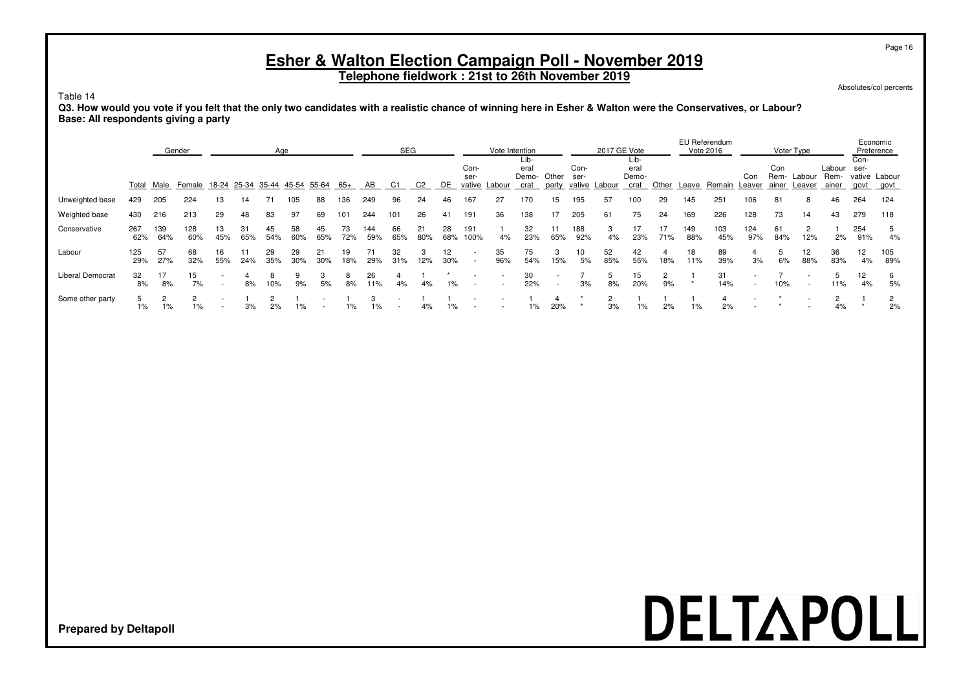**Telephone fieldwork : 21st to 26th November 2019**

Absolutes/col percents

#### Table 14

**Q3. How would you vote if you felt that the only two candidates with a realistic chance of winning here in Esher & Walton were the Conservatives, or Labour? Base: All respondents giving a party**

|                         |            |            | Gender                                          |           |           | Age       |           |           |           |            | <b>SEG</b>               |                |           |              | Vote Intention |                               |                                                      |              | 2017 GE Vote  |                               |           |            | EU Referendum<br>Vote 2016 |                                                      |                      | Voter Type               |                         |                                       | Economic<br>Preference |
|-------------------------|------------|------------|-------------------------------------------------|-----------|-----------|-----------|-----------|-----------|-----------|------------|--------------------------|----------------|-----------|--------------|----------------|-------------------------------|------------------------------------------------------|--------------|---------------|-------------------------------|-----------|------------|----------------------------|------------------------------------------------------|----------------------|--------------------------|-------------------------|---------------------------------------|------------------------|
|                         |            |            | Total Male Female 18-24 25-34 35-44 45-54 55-64 |           |           |           |           |           | 65+       | AB         | C1                       | C <sub>2</sub> | DE        | Con-<br>ser- | vative Labour  | Lib-<br>eral<br>Demo-<br>crat | Other<br>party                                       | Con-<br>ser- | vative Labour | Lib-<br>eral<br>Demo-<br>crat | Other     | Leave      | Remain Leaver              | Con                                                  | Con<br>Rem-<br>ainer | Labour<br>Leaver         | Labour<br>Rem-<br>ainer | Con-<br>ser-<br>vative Labour<br>govt | govt                   |
| Unweighted base         | 429        | 205        | 224                                             | 13        | 14        | 71        | 105       | 88        | 36        | 249        | 96                       | 24             | 46        | 167          | 27             | 170                           | 15                                                   | 195          | 57            | '00                           | 29        | 145        | 251                        | 106                                                  | 81                   | 8                        | 46                      | 264                                   | 124                    |
| Weighted base           | 430        | 216        | 213                                             | 29        | 48        | 83        | 97        | 69        | 101       | 244        | 101                      | 26             | 41        | 191          | 36             | 138                           | 17                                                   | 205          | 61            | 75                            | 24        | 169        | 226                        | 128                                                  | 73                   | 14                       | 43                      | 279                                   | 118                    |
| Conservative            | 267<br>62% | 139<br>64% | 128<br>60%                                      | 13<br>45% | 31<br>65% | 45<br>54% | 58<br>60% | 45<br>65% | 73<br>72% | 144<br>59% | 66<br>65%                | 21<br>80%      | 28<br>68% | 191<br>100%  | 4%             | 32<br>23%                     | 65%                                                  | 188<br>92%   | 4%            | 17<br>23%                     | 17<br>71% | 149<br>88% | 103<br>45%                 | 124<br>97%                                           | 61<br>84%            | $\overline{2}$<br>12%    | 2%                      | 254<br>91%                            | .5<br>4%               |
| Labour                  | 125<br>29% | 57<br>27%  | 68<br>32%                                       | 16<br>55% | 24%       | 29<br>35% | 29<br>30% | 21<br>30% | 19<br>18% | 29%        | 32<br>31%                | 3<br>12%       | 12<br>30% |              | 35<br>96%      | 75<br>54%                     | 3<br>15%                                             | 10<br>5%     | 52<br>85%     | 42<br>55%                     | 18%       | 18<br>11%  | 89<br>39%                  | 4<br>3%                                              | 6%                   | 12 <sub>2</sub><br>88%   | 36<br>83%               | 12<br>4%                              | 105<br>89%             |
| <b>Liberal Democrat</b> | 32<br>8%   | 8%         | 15<br>7%                                        |           | 8%        | 10%       | 9%        | 5%        | 8%        | 26<br>11%  | 4%                       | 4%             | 1%        |              |                | 30<br>22%                     | $\overline{\phantom{a}}$<br>$\overline{\phantom{a}}$ | 3%           | 8%            | 15<br>20%                     | 9%        |            | 31<br>14%                  | $\overline{\phantom{a}}$<br>$\overline{\phantom{a}}$ | 10%                  | $\overline{\phantom{a}}$ | 11%                     | 12<br>4%                              | 6<br>5%                |
| Some other party        | $1\%$      | 1%         | $1\%$                                           |           | 3%        | 2%        | 1%        |           | 1%        | $1\%$      | $\overline{\phantom{0}}$ | 4%             | $1\%$     |              |                | $1\%$                         | 20%                                                  |              | 3%            | $1\%$                         | 2%        | 1%         | 2%                         |                                                      |                      |                          | 4%                      |                                       | 2%                     |

## DELTAPOLL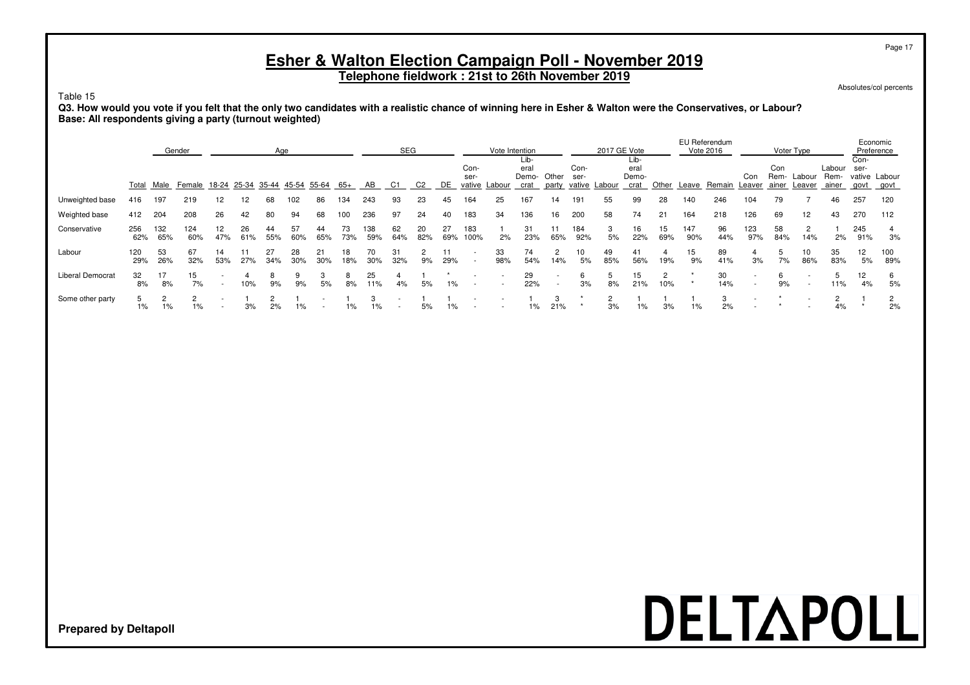**Telephone fieldwork : 21st to 26th November 2019**

Absolutes/col percents

Page 17

#### Table 15

**Q3. How would you vote if you felt that the only two candidates with a realistic chance of winning here in Esher & Walton were the Conservatives, or Labour? Base: All respondents giving a party (turnout weighted)**

|                  |            |            | Gender                                          |           |           | Age       |           |           |                |            | SEG       |                |           |              | Vote Intention |                               |                                                      |              | 2017 GE Vote  |                               |           |            | EU Referendum<br>Vote 2016 |                                                      |                      | Voter Type               |                         |                      | Economic<br>Preference |
|------------------|------------|------------|-------------------------------------------------|-----------|-----------|-----------|-----------|-----------|----------------|------------|-----------|----------------|-----------|--------------|----------------|-------------------------------|------------------------------------------------------|--------------|---------------|-------------------------------|-----------|------------|----------------------------|------------------------------------------------------|----------------------|--------------------------|-------------------------|----------------------|------------------------|
|                  |            |            | Total Male Female 18-24 25-34 35-44 45-54 55-64 |           |           |           |           |           | 65+            | AB         | C1        | C <sub>2</sub> | DE        | Con-<br>ser- | vative Labour  | Lib-<br>eral<br>Demo-<br>crat | Other<br>party                                       | Con-<br>ser- | vative Labour | Lib-<br>eral<br>Demo-<br>crat | Other     | Leave      | Remain                     | Con<br>Leaver                                        | Con<br>Rem-<br>ainer | Labour<br>Leaver         | Labour<br>Rem-<br>ainer | Con-<br>ser-<br>aovt | vative Labour<br>govt  |
| Unweighted base  | 416        | 197        | 219                                             | 12        | 12.       | 68        | 102       | 86        | 34             | 243        | 93        | 23             | 45        | 164          | 25             | 167                           | 14                                                   | 191          | 55            | 99                            | 28        | 140        | 246                        | 104                                                  | 79                   |                          | 46                      | 257                  | 120                    |
| Weighted base    | 412        | 204        | 208                                             | 26        | 42        | 80        | 94        | 68        | 100            | 236        | 97        | 24             | 40        | 183          | 34             | 136                           | 16                                                   | 200          | 58            | 74                            | 21        | 164        | 218                        | 126                                                  | 69                   | 12                       | 43                      | 270                  | 112                    |
| Conservative     | 256<br>62% | 132<br>65% | 124<br>60%                                      | 12<br>47% | 26<br>61% | 44<br>55% | 57<br>60% | 44<br>65% | 73<br>73%      | 138<br>59% | 62<br>64% | 20<br>82%      | 27<br>69% | 183<br>100%  | 2%             | 31<br>23%                     | 65%                                                  | 184<br>92%   | 5%            | 16<br>22%                     | 15<br>69% | 147<br>90% | 96<br>44%                  | 123<br>97%                                           | 58<br>84%            | $\overline{2}$<br>14%    | 2%                      | 245<br>91%           | 3%                     |
| Labour           | 120<br>29% | 53<br>26%  | 67<br>32%                                       | 14<br>53% | 27%       | 27<br>34% | 28<br>30% | 21<br>30% | 18<br>18%      | 70<br>30%  | 31<br>32% | 9%             | 29%       |              | 33<br>98%      | 74<br>54%                     | 2<br>14%                                             | 10<br>5%     | 49<br>85%     | 41<br>56%                     | 19%       | 15<br>9%   | 89<br>41%                  | 4<br>3%                                              | 7%                   | 10<br>86%                | 35<br>83%               | 12<br>5%             | 100<br>89%             |
| Liberal Democrat | 32<br>8%   | 8%         | 15<br>7%                                        |           | 10%       | 9%        | 9%        | 5%        | 8%             | 25<br>11%  | 4%        | 5%             | $1\%$     |              |                | 29<br>22%                     | $\overline{\phantom{a}}$<br>$\overline{\phantom{a}}$ | 6<br>3%      | 8%            | 15<br>21%                     | 2<br>10%  |            | 30<br>14%                  | $\overline{\phantom{a}}$<br>$\overline{\phantom{a}}$ | 9%                   | $\overline{\phantom{a}}$ | 11%                     | 12<br>4%             | 6<br>5%                |
| Some other party | 1%         | 1%         | 1%                                              |           | 3%        | 2%        | $1\%$     |           | $\frac{10}{6}$ | 1%         | . .       | 5%             | 1%        |              |                | 1%                            | 21%                                                  |              | 3%            | $1\%$                         | 3%        | 1%         | 2%                         |                                                      |                      |                          | 4%                      |                      | 2%                     |

## DELTAPOLL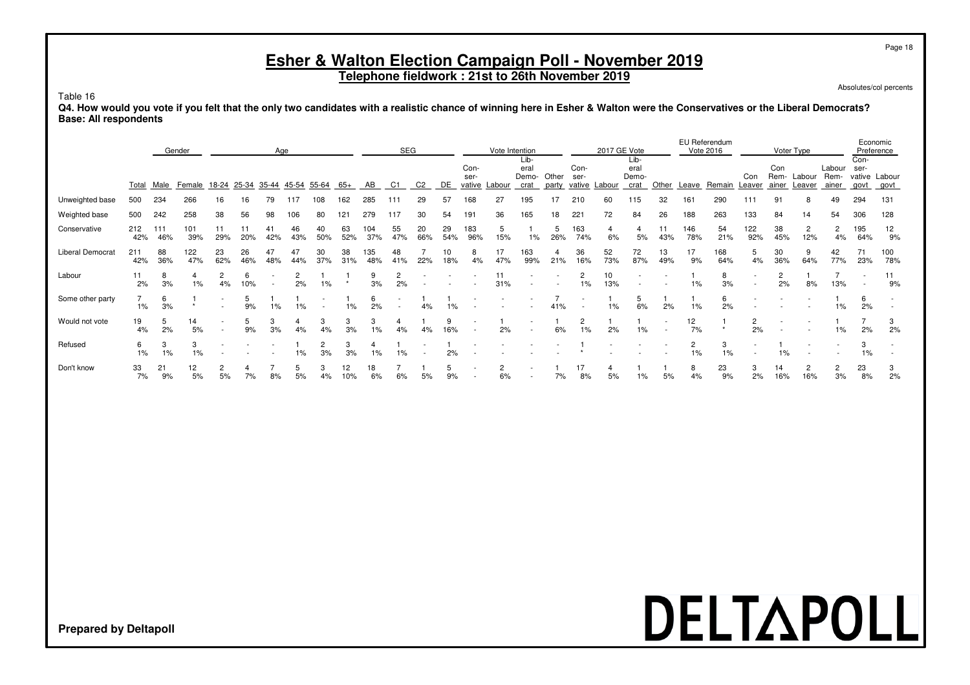**Telephone fieldwork : 21st to 26th November 2019**

Absolutes/col percents

Page 18

Table 16

**Q4. How would you vote if you felt that the only two candidates with a realistic chance of winning here in Esher & Walton were the Conservatives or the Liberal Democrats? Base: All respondents**

|                         |            | Gender<br>Age |            |                                      |           |           |           |                      |           |                      | <b>SEG</b>           |                |           |                        |                      | Vote Intention<br>Lib- |                |                         | 2017 GE Vote | Lib-                                                 |           |                      | EU Referendum<br>Vote 2016 |                          |                      | Voter Type               |                         | Economic<br>Preference<br>Con- |             |
|-------------------------|------------|---------------|------------|--------------------------------------|-----------|-----------|-----------|----------------------|-----------|----------------------|----------------------|----------------|-----------|------------------------|----------------------|------------------------|----------------|-------------------------|--------------|------------------------------------------------------|-----------|----------------------|----------------------------|--------------------------|----------------------|--------------------------|-------------------------|--------------------------------|-------------|
|                         | Total      | Male          | Female     | <u>18-24 25-34 35-44 45-54 55-64</u> |           |           |           |                      | 65+       | AB                   | C1                   | C <sub>2</sub> | DE        | Con-<br>ser-<br>vative | Labour               | eral<br>Demo-<br>crat  | Other<br>party | Con-<br>ser-<br>vative  | Labour       | eral<br>Demo-<br>crat                                | Other     | Leave                | Remain                     | Con<br>Leaver            | Con<br>ainer         | Rem- Labour<br>Leaver    | Labour<br>Rem-<br>ainer | ser-<br>vative Labour<br>govt  | <u>govt</u> |
| Unweighted base         | 500        | 234           | 266        | 16                                   | 16        | 79        | 117       | 108                  | 162       | 285                  | 111                  | 29             | 57        | 168                    | 27                   | 195                    | 17             | 210                     | 60           | 115                                                  | 32        | 161                  | 290                        | 111                      | 91                   |                          | 49                      | 294                            | 131         |
| Weighted base           | 500        | 242           | 258        | 38                                   | 56        | 98        | 106       | 80                   | 121       | 279                  | 117                  | 30             | 54        | 191                    | 36                   | 165                    | 18             | 221                     | 72           | 84                                                   | 26        | 188                  | 263                        | 133                      | 84                   | 14                       | 54                      | 306                            | 128         |
| Conservative            | 212<br>42% | 111<br>46%    | 101<br>39% | 11<br>29%                            | 20%       | 41<br>42% | 46<br>43% | 40<br>50%            | 63<br>52% | 104<br>37%           | 55<br>47%            | 20<br>66%      | 29<br>54% | 183<br>96%             | 5<br>15%             | 1%                     | 5<br>26%       | 163<br>74%              | 6%           | 5%                                                   | 11<br>43% | 146<br>78%           | 54<br>21%                  | 122<br>92%               | 38<br>45%            | $\overline{c}$<br>12%    | 2<br>4%                 | 195<br>64%                     | 12<br>9%    |
| <b>Liberal Democrat</b> | 211<br>42% | 88<br>36%     | 122<br>47% | 23<br>62%                            | 26<br>46% | 47<br>48% | 47<br>44% | 30<br>37%            | 38<br>31% | 135<br>48%           | 48<br>41%            | 22%            | 10<br>18% | 8<br>4%                | 17<br>47%            | 163<br>99%             | 4<br>21%       | 36<br>16%               | 52<br>73%    | 72<br>87%                                            | 13<br>49% | 17<br>9%             | 168<br>64%                 | 5<br>4%                  | 30<br>36%            | 9<br>64%                 | 42<br>77%               | 71<br>23%                      | 100<br>78%  |
| Labour                  | 11<br>2%   | 8<br>3%       | 4<br>$1\%$ | $\overline{2}$<br>4%                 | 6<br>10%  |           | 2<br>2%   | 1%                   |           | 9<br>3%              | $\overline{2}$<br>2% |                |           |                        | 11<br>31%            |                        |                | $\overline{2}$<br>1%    | 10<br>13%    | $\overline{\phantom{a}}$<br>$\overline{\phantom{a}}$ |           | 1%                   | 8<br>3%                    | $\overline{\phantom{a}}$ | $\overline{2}$<br>2% | 8%                       | 13%                     | $\overline{\phantom{a}}$       | 11<br>9%    |
| Some other party        | 1%         | 6<br>3%       | $\star$    | $\overline{\phantom{a}}$             | 5<br>9%   | 1%        | 1%        |                      | 1%        | 6<br>2%              |                      | 4%             |           |                        |                      |                        | 41%            |                         | 1%           | 5<br>6%                                              | 2%        | 1%                   | 6<br>2%                    |                          |                      |                          | $1\%$                   | 6<br>2%                        |             |
| Would not vote          | 19<br>4%   | 5<br>2%       | 14<br>5%   |                                      | 5<br>9%   | 3<br>3%   | 4<br>4%   | 3<br>4%              | 3<br>3%   | 3<br>1%              | 4<br>4%              | 4%             | 9<br>16%  |                        | 2%                   |                        | 6%             | $\overline{2}$<br>$1\%$ | 2%           | 1%                                                   |           | 12<br>7%             | $\star$                    | $\mathbf{2}$<br>2%       |                      | $\overline{\phantom{a}}$ | $1\%$                   | 2%                             | 3<br>2%     |
| Refused                 | 6<br>1%    | 3<br>1%       | 3<br>1%    |                                      |           |           | $1\%$     | $\overline{c}$<br>3% | 3<br>3%   | $\overline{4}$<br>1% | 1%                   |                | 2%        |                        |                      |                        |                |                         |              |                                                      |           | $\overline{2}$<br>1% | 3<br>1%                    | $\overline{\phantom{a}}$ | 1%                   |                          |                         | 3<br>1%                        |             |
| Don't know              | 33<br>7%   | 21<br>9%      | 12<br>5%   | 5%                                   | 7%        | 8%        | 5<br>5%   | 3<br>4%              | 12<br>10% | 18<br>6%             | 6%                   | 5%             | 5<br>9%   |                        | $\overline{c}$<br>6% |                        | 7%             | 17<br>8%                | 5%           | 1%                                                   | 5%        | 8<br>4%              | 23<br>9%                   | 3<br>2%                  | 14<br>16%            | $\overline{c}$<br>16%    | $\overline{c}$<br>3%    | 23<br>8%                       | 3<br>2%     |

### DELTAPOLL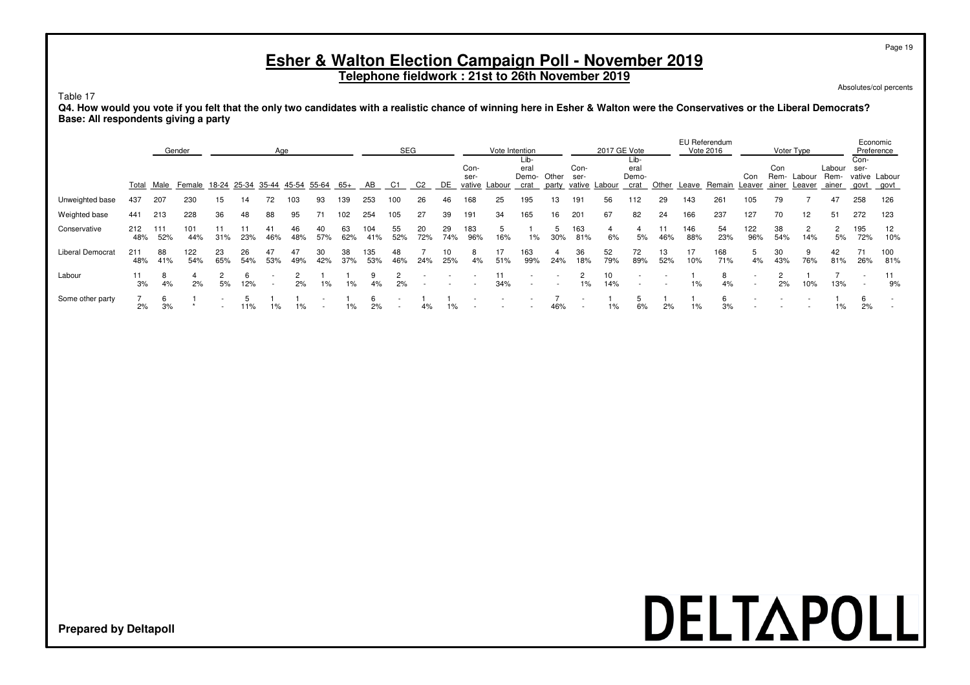**Telephone fieldwork : 21st to 26th November 2019**

Absolutes/col percents

Page 19

#### Table 17

**Q4. How would you vote if you felt that the only two candidates with a realistic chance of winning here in Esher & Walton were the Conservatives or the Liberal Democrats? Base: All respondents giving a party**

|                         |            |            | Gender                        |           |           |           | Age       |                   |           |            | <b>SEG</b> |           |           |              | Vote Intention |                              |                |                          | 2017 GE Vote  |                               |           |            | EU Referendum<br>Vote 2016 |               |             | Voter Type             |                         |                                | Economic<br>Preference |
|-------------------------|------------|------------|-------------------------------|-----------|-----------|-----------|-----------|-------------------|-----------|------------|------------|-----------|-----------|--------------|----------------|------------------------------|----------------|--------------------------|---------------|-------------------------------|-----------|------------|----------------------------|---------------|-------------|------------------------|-------------------------|--------------------------------|------------------------|
|                         |            |            | Total Male Female 18-24 25-34 |           |           |           |           | 35-44 45-54 55-64 | 65+       | AB         | C1         | C2        | DE        | Con-<br>ser- | vative Labour  | Lib-<br>era<br>Demo-<br>crat | Other<br>party | Con-<br>ser-             | vative Labour | Lib-<br>eral<br>Demo-<br>crat | Other     | Leave      | Remain                     | Con<br>Leaver | Con<br>Rem- | Labour<br>ainer Leaver | Labour<br>Rem-<br>ainer | Con-<br>ser-<br>vative<br>govt | Labour<br>govt         |
| Unweighted base         | 437        | 207        | 230                           | 15        | 14        | 72        | 103       | 93                | 139       | 253        | 100        | 26        | 46        | 168          | 25             | 195                          | 13             | 191                      | 56            | 112                           | 29        | 143        | 261                        | 105           | 79          |                        | 47                      | 258                            | 126                    |
| Weighted base           | 441        | 213        | 228                           | 36        | 48        | 88        | 95        |                   | 102       | 254        | 105        | 27        | 39        | 191          | 34             | 165                          | 16             | 201                      | 67            | 82                            | 24        | 166        | 237                        | 127           | 70          | 12                     | 51                      | 272                            | 123                    |
| Conservative            | 212<br>48% | 111<br>52% | 101<br>44%                    | 31%       | 23%       | 46%       | 46<br>48% | 40<br>57%         | 63<br>62% | 104<br>41% | 55<br>52%  | 20<br>72% | 29<br>74% | 183<br>96%   | 16%            | 1%                           | 5<br>30%       | 163<br>81%               | 6%            | 5%                            | 11<br>46% | 146<br>88% | 54<br>23%                  | 122<br>96%    | 38<br>54%   | 2<br>14%               | 5%                      | 195<br>72%                     | 12<br>10%              |
| <b>Liberal Democrat</b> | 211<br>48% | 88<br>41%  | 122<br>54%                    | 23<br>65% | 26<br>54% | 47<br>53% | 47<br>49% | 30<br>42%         | 38<br>37% | 135<br>53% | 48<br>46%  | 24%       | 10<br>25% | 4%           | 51%            | 163<br>99%                   | 24%            | 36<br>18%                | 52<br>79%     | 72<br>89%                     | 13<br>52% | 17<br>10%  | 168<br>71%                 | 5<br>4%       | 30<br>43%   | 9<br>76%               | 42<br>81%               | 71<br>26%                      | 100<br>81%             |
| Labour                  | 11<br>3%   | -8<br>4%   | 2%                            | 5%        | 6<br>12%  |           | 2%        | $1\%$             | $1\%$     | 9<br>4%    | 2%         |           |           |              | 34%            |                              |                | 1%                       | 10<br>14%     |                               |           | 1%         | 4%                         |               | 2%          | 10%                    | 13%                     | $\overline{\phantom{a}}$       | 11<br>9%               |
| Some other party        | 2%         | 6<br>3%    |                               |           | 11%       | 1%        |           |                   | 1%        | 2%         |            | 4%        | 1%        |              |                |                              | 46%            | $\overline{\phantom{a}}$ | 1%            | 6%                            | 2%        | $1\%$      | 3%                         |               |             |                        | 1%                      | 2%                             |                        |

## DELTAPOLL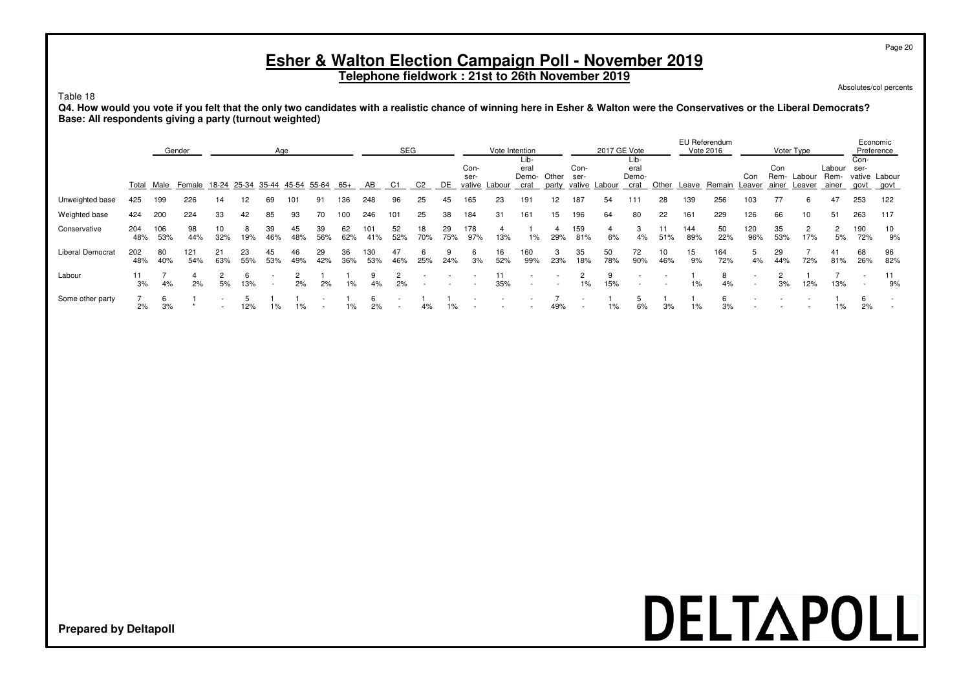**Telephone fieldwork : 21st to 26th November 2019**

Absolutes/col percents

Page 20

Table 18

**Q4. How would you vote if you felt that the only two candidates with a realistic chance of winning here in Esher & Walton were the Conservatives or the Liberal Democrats? Base: All respondents giving a party (turnout weighted)**

|                         |            |            | Gender                                    |           |           | Age       |           |           |           |            | <b>SEG</b>               |           |           |                        | Vote Intention |                                     |          |                        | 2017 GE Vote |                               |       |            | EU Referendum<br>Vote 2016 |               |                      | Voter Type       |                         |                                                      | Economic<br>Preference |
|-------------------------|------------|------------|-------------------------------------------|-----------|-----------|-----------|-----------|-----------|-----------|------------|--------------------------|-----------|-----------|------------------------|----------------|-------------------------------------|----------|------------------------|--------------|-------------------------------|-------|------------|----------------------------|---------------|----------------------|------------------|-------------------------|------------------------------------------------------|------------------------|
|                         |            |            | Total Male Female 18-24 25-34 35-44 45-54 |           |           |           |           | 55-64     | 65+       | AB         | C1                       | C2        | DE        | Con-<br>ser-<br>vative | Labour         | ∟ib-<br>eral<br>Demo- Other<br>crat | party    | Con-<br>ser-<br>vative | Labour       | Lib-<br>eral<br>Demo-<br>crat | Other | Leave      | Remain                     | Con<br>Leaver | Con<br>Rem-<br>ainer | Labour<br>Leaver | Labour<br>Rem-<br>ainer | Con-<br>ser-<br>govt                                 | vative Labour<br>govt  |
| Unweighted base         | 425        | 199        | 226                                       | 14        | 12        | 69        | 101       | 91        | 36        | 248        | 96                       | 25        | 45        | 165                    | 23             | 191                                 | 12       | 187                    | 54           | 111                           | 28    | 139        | 256                        | 103           | 77                   | 6                | 47                      | 253                                                  | 122                    |
| Weighted base           | 424        | 200        | 224                                       | 33        | 42        | 85        | 93        | 70        | 100       | 246        | 101                      | 25        | 38        | 184                    | 31             | 161                                 | 15       | 196                    | 64           | 80                            | 22    | 161        | 229                        | 126           | 66                   | 10               | 51                      | 263                                                  | 117                    |
| Conservative            | 204<br>48% | 106<br>53% | 98<br>44%                                 | 10<br>32% | 19%       | 39<br>46% | 45<br>48% | 39<br>56% | 62<br>62% | 101<br>41% | 52<br>52%                | 18<br>70% | 29<br>75% | 178<br>97%             | 13%            | $1\%$                               | 29%      | 159<br>81%             | 6%           | 4%                            | 51%   | 144<br>89% | 50<br>22%                  | 120<br>96%    | 35<br>53%            | 2<br>17%         | 5%                      | 190<br>72%                                           | 10<br>9%               |
| <b>Liberal Democrat</b> | 202<br>48% | 80<br>40%  | 121<br>54%                                | 21<br>63% | 23<br>55% | 45<br>53% | 46<br>49% | 29<br>42% | 36<br>36% | 30<br>53%  | 47<br>46%                | 25%       | 24%       | 6<br>3%                | 16<br>52%      | 160<br>99%                          | 3<br>23% | 35<br>18%              | 50<br>78%    | 72<br>90%                     | 46%   | 15<br>9%   | 164<br>72%                 | 5<br>4%       | 29<br>44%            | 72%              | 41<br>81%               | 68<br>26%                                            | 96<br>82%              |
| Labour                  | 11<br>3%   | 4%         | 2%                                        | 5%        | 13%       |           | 2%        | 2%        | $1\%$     | 4%         | 2%                       |           |           |                        | 11<br>35%      |                                     |          | $1\%$                  | 15%          |                               |       | $1\%$      | 8<br>4%                    |               | 3%                   | 12%              | 13%                     | $\overline{\phantom{a}}$<br>$\overline{\phantom{a}}$ | 9%                     |
| Some other party        | 2%         | 6<br>3%    |                                           |           | 12%       | 1%        |           |           | $1\%$     | 2%         | $\overline{\phantom{a}}$ | 4%        | $1\%$     |                        |                |                                     | 49%      | $\sim$                 | 1%           | 6%                            | 3%    | 1%         | 3%                         |               |                      |                  | 1%                      | 6<br>2%                                              |                        |

## DELTAPOLL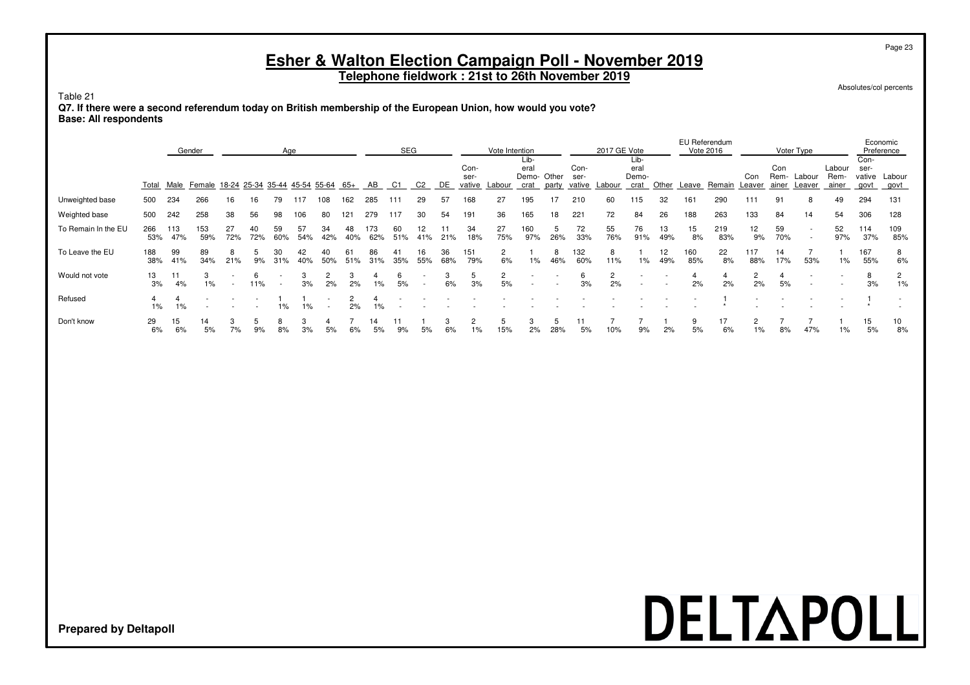**Telephone fieldwork : 21st to 26th November 2019**

Absolutes/col percents

Table 21

**Q7. If there were a second referendum today on British membership of the European Union, how would you vote? Base: All respondents**

|                     |            | Gender     |                                           |           |     | Age       |           |           |     |            | SEG       |                |           |              | Vote Intention       |               |       |              | 2017 GE Vote |               |           |            | EU Referendum<br><b>Vote 2016</b> |                      |             | Voter Type                                           |                |                | Economic<br>Preference |
|---------------------|------------|------------|-------------------------------------------|-----------|-----|-----------|-----------|-----------|-----|------------|-----------|----------------|-----------|--------------|----------------------|---------------|-------|--------------|--------------|---------------|-----------|------------|-----------------------------------|----------------------|-------------|------------------------------------------------------|----------------|----------------|------------------------|
|                     |            |            |                                           |           |     |           |           |           |     |            |           |                |           |              |                      | Lib-          |       |              |              | Lib-          |           |            |                                   |                      |             |                                                      |                | Con-           |                        |
|                     |            |            |                                           |           |     |           |           |           |     |            |           |                |           | Con-<br>ser- |                      | eral<br>Demo- | Other | Con-<br>ser- |              | eral<br>Demo- |           |            |                                   | Con                  | Con<br>Rem- | Labour                                               | Labour<br>Rem- | ser-<br>vative | Labour                 |
|                     | Total      |            | Male Female 18-24 25-34 35-44 45-54 55-64 |           |     |           |           |           | 65+ | AB         | C1        | C <sub>2</sub> | DE        | vative       | Labour               | crat          | party | vative       | Labour       | crat          | Other     | Leave      | Remain                            | Leaver               | ainer       | Leaver                                               | ainer          | govt           | govt                   |
| Unweighted base     | 500        | 234        | 266                                       | 16        | 16  | 79        | 117       | 108       | 62  | 285        |           | 29             | 57        | 168          | 27                   | 195           | 17    | 210          | 60           | 115           | 32        | 161        | 290                               | 111                  | 91          | 8                                                    | 49             | 294            | 131                    |
| Weighted base       | 500        | 242        | 258                                       | 38        | 56  |           | 106       | 80        | 121 | 279        | 117       | 30             | 54        | 191          | 36                   | 165           | 18    | 221          | 72           | 84            | 26        | 188        | 263                               | 133                  | 84          | 14                                                   | 54             | 306            | 128                    |
| To Remain In the EU | 266<br>53% | 113<br>47% | 153<br>59%                                | 27<br>72% | 72% | 59<br>60% | 57<br>54% | 34<br>42% | 40% | 173<br>62% | 60<br>51% | 12<br>41%      | 21%       | 34<br>18%    | 27<br>75%            | 160<br>97%    | 26%   | 72<br>33%    | 55<br>76%    | 76<br>91%     | 13<br>49% | 15<br>8%   | 219<br>83%                        | 12<br>9%             | 59<br>70%   | $\overline{\phantom{a}}$<br>$\overline{\phantom{a}}$ | 52<br>97%      | 114<br>37%     | 109<br>85%             |
| To Leave the EU     | 188<br>38% | 99<br>41%  | 89<br>34%                                 | 21%       | 9%  | 31%       | 40%       | 50%       | 51% | 31%        | 35%       | 16<br>55%      | 36<br>68% | 151<br>79%   | 2<br>6%              | $1\%$         | 46%   | 132<br>60%   | 11%          | 1%            | 12<br>49% | 160<br>85% | 22<br>8%                          | 117<br>88%           | 14<br>17%   | 53%                                                  | 1%             | 167<br>55%     | 8<br>6%                |
| Would not vote      | 13<br>3%   | 11<br>4%   | 3<br>1%                                   |           | 11% |           | 3%        | 2%        | 2%  | 1%         | 5%        |                | 3<br>6%   | .5<br>3%     | $\overline{2}$<br>5% |               |       | 6<br>3%      | 2%           |               |           | 2%         | 4<br>2%                           | $\overline{2}$<br>2% | 5%          |                                                      |                | 8<br>3%        | $\overline{2}$<br>1%   |
| Refused             | $1\%$      | 1%         |                                           |           |     | $\%$      | $1\%$     |           | 2%  | 1%         |           |                |           |              |                      |               |       |              |              |               |           |            |                                   |                      |             |                                                      |                |                |                        |
| Don't know          | 29<br>6%   | 15<br>6%   | 14<br>5%                                  | 7%        |     |           |           |           |     |            |           |                | 6%        | 1%           | 15%                  | 2%            | 28%   | 5%           |              | 9%            | 2%        | 5%         | 17<br>6%                          | 1%                   | 8%          | 47%                                                  | $1\%$          | 15<br>5%       | 10<br>8%               |

# DELTAPOLL

**Prepared by Deltapoll**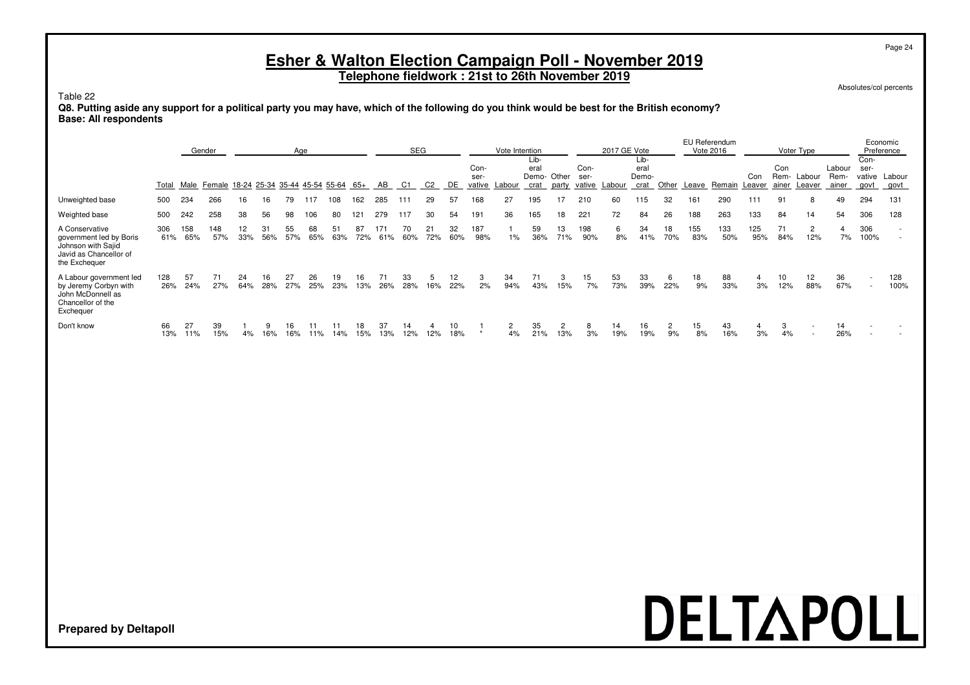**Telephone fieldwork : 21st to 26th November 2019**

Absolutes/col percents

Page 24

#### Table 22

**Q8. Putting aside any support for a political party you may have, which of the following do you think would be best for the British economy? Base: All respondents**

|                                                                                                            |            |            | Gender                                    |           |           | Age       |           |           |           |            | <b>SEG</b> |                |           |                        | Vote Intention |                                    |           |              | 2017 GE Vote  |                               |           |            | EU Referendum<br>Vote 2016 |            |             | Voter Type               |                         |                                | Economic<br>Preference |
|------------------------------------------------------------------------------------------------------------|------------|------------|-------------------------------------------|-----------|-----------|-----------|-----------|-----------|-----------|------------|------------|----------------|-----------|------------------------|----------------|------------------------------------|-----------|--------------|---------------|-------------------------------|-----------|------------|----------------------------|------------|-------------|--------------------------|-------------------------|--------------------------------|------------------------|
|                                                                                                            | Total      |            | Male Female 18-24 25-34 35-44 45-54 55-64 |           |           |           |           |           | 65+       | AB         | C1         | C <sub>2</sub> | DE        | Con-<br>ser-<br>vative | Labour         | Lib-<br>eral<br>Demo-Other<br>crat | party     | Con-<br>ser- | vative Labour | Lib-<br>eral<br>Demo-<br>crat | Other     |            | Leave Remain Leaver        | Con        | Con<br>Rem- | Labour<br>ainer Leaver   | Labour<br>Rem-<br>ainer | Con-<br>ser-<br>vative<br>govt | Labour<br>govt         |
| Unweighted base                                                                                            | 500        | 234        | 266                                       | 16        | 16        | 79        | 17        | 08        | 162       | 285        | 111        | 29             | 57        | 168                    | 27             | 195                                |           | 210          | 60            | 115                           | 32        | 161        | 290                        | 111        | 91          | 8                        | 49                      | 294                            | 131                    |
| Weighted base                                                                                              | 500        | 242        | 258                                       | 38        | 56        | 98        | 106       | 80        | 121       | 279        | 117        | 30             | 54        | 191                    | 36             | 165                                | 18        | 221          | 72            | 84                            | 26        | 188        | 263                        | 133        | 84          | 14                       | 54                      | 306                            | 128                    |
| A Conservative<br>government led by Boris<br>Johnson with Sajid<br>Javid as Chancellor of<br>the Exchequer | 306<br>61% | 158<br>65% | 148<br>57%                                | 12<br>33% | 31<br>56% | 55<br>57% | 68<br>65% | 51<br>63% | 87<br>72% | 171<br>61% | 70<br>60%  | 21<br>72%      | 32<br>60% | 187<br>98%             | 1%             | 59<br>36%                          | 13<br>71% | 198<br>90%   | 6<br>8%       | 34<br>41%                     | 18<br>70% | 155<br>83% | 133<br>50%                 | 125<br>95% | 71<br>84%   | $\overline{2}$<br>12%    | 7%                      | 306<br>100%                    |                        |
| A Labour government led<br>by Jeremy Corbyn with<br>John McDonnell as<br>Chancellor of the<br>Exchequer    | 128<br>26% | 57<br>24%  | 71<br>27%                                 | 24<br>64% | 16<br>28% | 27<br>27% | 26<br>25% | 19<br>23% | 16<br>13% | 71<br>26%  | 33<br>28%  | 5<br>16%       | 12<br>22% | 3<br>2%                | 34<br>94%      | 71<br>43%                          | 3<br>15%  | 15<br>7%     | 53<br>73%     | 33<br>39%                     | 6<br>22%  | 18<br>9%   | 88<br>33%                  | 4<br>3%    | 10<br>12%   | 12<br>88%                | 36<br>67%               | $\overline{\phantom{a}}$       | 128<br>100%            |
| Don't know                                                                                                 | 66<br>13%  | 27<br>11%  | 39<br>15%                                 | 4%        | 16%       | 16<br>16% | 11%       | 14%       | 18<br>15% | 37<br>13%  | 14<br>12%  | 12%            | 10<br>18% |                        | 4%             | 35<br>21%                          | 2<br>13%  | 3%           | 14<br>19%     | 16<br>19%                     | 2<br>9%   | 15<br>8%   | 43<br>16%                  | 4<br>3%    | 3<br>4%     | $\overline{\phantom{a}}$ | 14<br>26%               |                                |                        |

## DELTAPOLL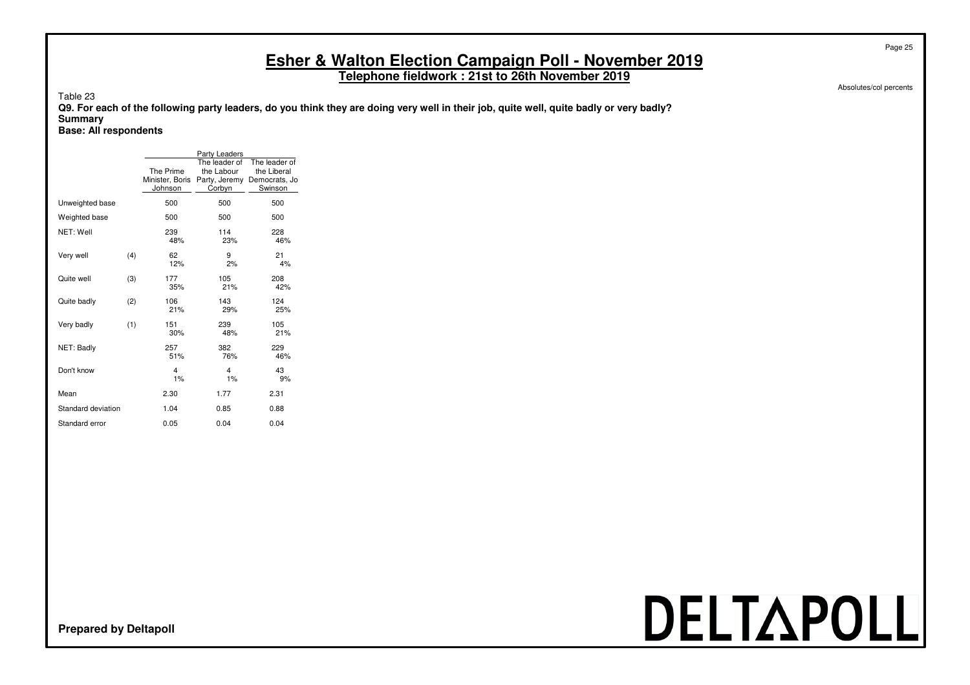**Telephone fieldwork : 21st to 26th November 2019**

Absolutes/col percents

Page 25

Table 23

**Q9. For each of the following party leaders, do you think they are doing very well in their job, quite well, quite badly or very badly? Summary**

**Base: All respondents**

|                    |     |                                         | Party Leaders                                          |                                                          |
|--------------------|-----|-----------------------------------------|--------------------------------------------------------|----------------------------------------------------------|
|                    |     | The Prime<br>Minister, Boris<br>Johnson | The leader of<br>the Labour<br>Party, Jeremy<br>Corbyn | The leader of<br>the Liberal<br>Democrats, Jo<br>Swinson |
| Unweighted base    |     | 500                                     | 500                                                    | 500                                                      |
| Weighted base      |     | 500                                     | 500                                                    | 500                                                      |
| NET: Well          |     | 239<br>48%                              | 114<br>23%                                             | 228<br>46%                                               |
| Very well          | (4) | 62<br>12%                               | 9<br>2%                                                | 21<br>4%                                                 |
| Quite well         | (3) | 177<br>35%                              | 105<br>21%                                             | 208<br>42%                                               |
| Quite badly        | (2) | 106<br>21%                              | 143<br>29%                                             | 124<br>25%                                               |
| Very badly         | (1) | 151<br>30%                              | 239<br>48%                                             | 105<br>21%                                               |
| NET: Badly         |     | 257<br>51%                              | 382<br>76%                                             | 229<br>46%                                               |
| Don't know         |     | 4<br>1%                                 | 4<br>1%                                                | 43<br>9%                                                 |
| Mean               |     | 2.30                                    | 1.77                                                   | 2.31                                                     |
| Standard deviation |     | 1.04                                    | 0.85                                                   | 0.88                                                     |
| Standard error     |     | 0.05                                    | 0.04                                                   | 0.04                                                     |

# DELTAPOLL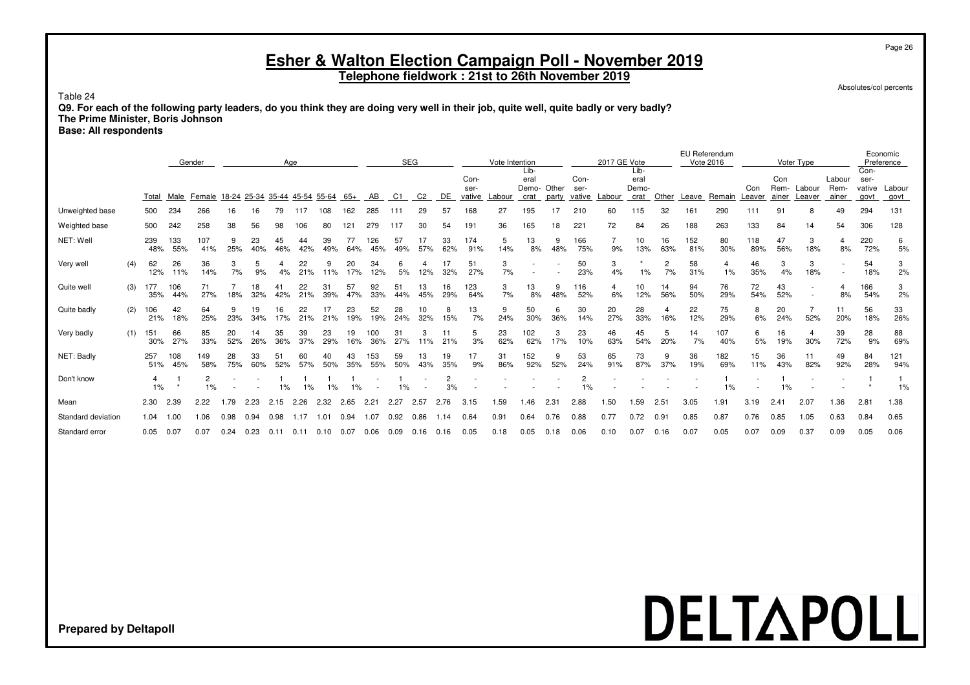#### Page 26

#### **Esher & Walton Election Campaign Poll - November 2019**

**Telephone fieldwork : 21st to 26th November 2019**

Absolutes/col percents

Table 24

**Q9. For each of the following party leaders, do you think they are doing very well in their job, quite well, quite badly or very badly? The Prime Minister, Boris Johnson**

**Base: All respondents**

|                    |     |            |            | Gender                               |           |           |           | Age       |           |           |            | <b>SEG</b> |           |           |                        | Vote Intention |                               |                |                        | 2017 GE Vote |                               |           | EU Referendum<br>Vote 2016 |            |               |                      | Voter Type                    |                         |                                | Economic<br>Preference |
|--------------------|-----|------------|------------|--------------------------------------|-----------|-----------|-----------|-----------|-----------|-----------|------------|------------|-----------|-----------|------------------------|----------------|-------------------------------|----------------|------------------------|--------------|-------------------------------|-----------|----------------------------|------------|---------------|----------------------|-------------------------------|-------------------------|--------------------------------|------------------------|
|                    |     | Total      | Male       | Female 18-24 25-34 35-44 45-54 55-64 |           |           |           |           |           | 65+       | AB         | C1         | C2        | DE.       | Con-<br>ser-<br>vative | _abour         | Lib-<br>eral<br>Demo-<br>crat | Other<br>party | Con-<br>ser-<br>vative | Labour       | Lib-<br>eral<br>Demo-<br>crat | Other     | Leave                      | Remain     | Con<br>Leaver | Con<br>Rem-<br>ainer | Labour<br>Leaver              | Labour<br>Rem-<br>ainer | Con-<br>ser-<br>vative<br>govt | Labour<br>govt         |
| Unweighted base    |     | 500        | 234        | 266                                  | 16        | 16        | 79        | 117       | 108       | 162       | 285        | 111        | 29        | 57        | 168                    | 27             | 195                           |                | 210                    | 60           | 115                           | 32        | 161                        | 290        |               | 9                    |                               | 49                      | 294                            | 131                    |
| Weighted base      |     | 500        | 242        | 258                                  | 38        | 56        | 98        | 106       | 80        | 121       | 279        | 117        | 30        | 54        | 191                    | 36             | 165                           | 18             | 221                    | 72           | 84                            | 26        | 188                        | 263        | 133           | 84                   | 14                            | 54                      | 306                            | 128                    |
| NET: Well          |     | 239<br>48% | 133<br>55% | 107<br>41%                           | 25%       | 23<br>40% | 45<br>46% | 44<br>42% | 39<br>49% | 77<br>64% | 126<br>45% | 57<br>49%  | 57%       | 33<br>62% | 174<br>91%             | 5<br>14%       | 13<br>8%                      | 9<br>48%       | 166<br>75%             | 9%           | 10<br>13%                     | 16<br>63% | 152<br>81%                 | 80<br>30%  | 118<br>89%    | 47<br>56%            | 3<br>18%                      | 4<br>8%                 | 220<br>72%                     | 6<br>5%                |
| Very well          | (4) | 62<br>12%  | 26<br>11%  | 36<br>14%                            | 7%        | 9%        | 4%        | 22<br>21% | 11%       | 20<br>17% | 34<br>12%  | 5%         | 12%       | 32%       | 51<br>27%              | 3<br>7%        |                               |                | 50<br>23%              | 3<br>4%      | 1%                            | 2<br>7%   | 58<br>31%                  | 4<br>1%    | 46<br>35%     | 3<br>4%              | 3<br>18%                      |                         | 54<br>18%                      | 3<br>2%                |
| Quite well         | (3) | 177<br>35% | 106<br>44% | 71<br>27%                            | 18%       | 32%       | 42%       | 22<br>21% | 31<br>39% | 57<br>47% | 92<br>33%  | 51<br>44%  | 13<br>45% | 16<br>29% | 123<br>64%             | 3<br>7%        | 13<br>8%                      | 9<br>48%       | 116<br>52%             | 4<br>6%      | 10<br>12%                     | 14<br>56% | 94<br>50%                  | 76<br>29%  | 72<br>54%     | 43<br>52%            | $\overline{\phantom{a}}$<br>٠ | 4<br>8%                 | 166<br>54%                     | 3<br>2%                |
| Quite badly        | (2) | 106<br>21% | 42<br>18%  | 64<br>25%                            | 23%       | 19<br>34% | 17%       | 21%       | 21%       | 23<br>19% | 52<br>19%  | 28<br>24%  | 10<br>32% | 8<br>15%  | 13<br>7%               | 9<br>24%       | 50<br>30%                     | 6<br>36%       | 30<br>14%              | 20<br>27%    | 28<br>33%                     | 16%       | 22<br>12%                  | 75<br>29%  | 8<br>6%       | 20<br>24%            | 52%                           | 11<br>20%               | 56<br>18%                      | 33<br>26%              |
| Very badly         | (1) | 151<br>30% | 66<br>27%  | 85<br>33%                            | 20<br>52% | 26%       | 35<br>36% | 39<br>37% | 23<br>29% | 19<br>16% | 100<br>36% | 31<br>27%  | 3<br>11%  | 21%       | 5<br>3%                | 23<br>62%      | 102<br>62%                    | 3<br>17%       | 23<br>10%              | 46<br>63%    | 45<br>54%                     | 5<br>20%  | 14<br>7%                   | 107<br>40% | 6<br>5%       | 16<br>19%            | 4<br>30%                      | 39<br>72%               | 28<br>9%                       | 88<br>69%              |
| NET: Badly         |     | 257<br>51% | 108<br>45% | 149<br>58%                           | 28<br>75% | 33<br>60% | 52%       | 60<br>57% | 50%       | 43<br>35% | 153<br>55% | 59<br>50%  | 13<br>43% | 19<br>35% | 17<br>9%               | 31<br>86%      | 152<br>92%                    | 9<br>52%       | 53<br>24%              | 65<br>91%    | 73<br>87%                     | 9<br>37%  | 36<br>19%                  | 182<br>69% | 15<br>11%     | 36<br>43%            | 11<br>82%                     | 49<br>92%               | 84<br>28%                      | 121<br>94%             |
| Don't know         |     | 4<br>1%    |            | 2<br>1%                              |           |           | 1%        | 1%        | 1%        |           |            | ∘%         |           | 2<br>3%   |                        |                |                               |                | $1\%$                  |              |                               |           |                            | 1%         |               | 1%                   |                               |                         |                                | 1%                     |
| Mean               |     | 2.30       | 2.39       | 2.22                                 | 1.79      | 2.23      | 2.15      | 2.26      | 2.32      | 2.65      | 2.21       | 2.27       | 2.57      | 2.76      | 3.15                   | 1.59           | 1.46                          | 2.31           | 2.88                   | 1.50         | 1.59                          | 2.51      | 3.05                       | 1.91       | 3.19          | $2.4^{\circ}$        | 2.07                          | .36                     | 2.81                           | 1.38                   |
| Standard deviation |     | 1.04       | 1.00       | 1.06                                 | 0.98      | 0.94      | 0.98      | 1.17      | .01       | 0.94      | 1.07       | 0.92       | 0.86      |           | 0.64                   | 0.91           | 0.64                          | 0.76           | 0.88                   | 0.77         | 0.72                          | 0.91      | 0.85                       | 0.87       | 0.76          | 0.85                 | 1.05                          | 0.63                    | 0.84                           | 0.65                   |
| Standard error     |     | 0.05       | 0.07       | 0.07                                 | 0.24      | 0.23      | 0.11      | 0.11      | 0.10      | 0.07      | 0.06       | 0.09       | 0.16      | 0.16      | 0.05                   | 0.18           | 0.05                          | 0.18           | 0.06                   | 0.10         | 0.07                          | 0.16      | 0.07                       | 0.05       | 0.07          | 0.09                 | 0.37                          | 0.09                    | 0.05                           | 0.06                   |

### DELTAPOLL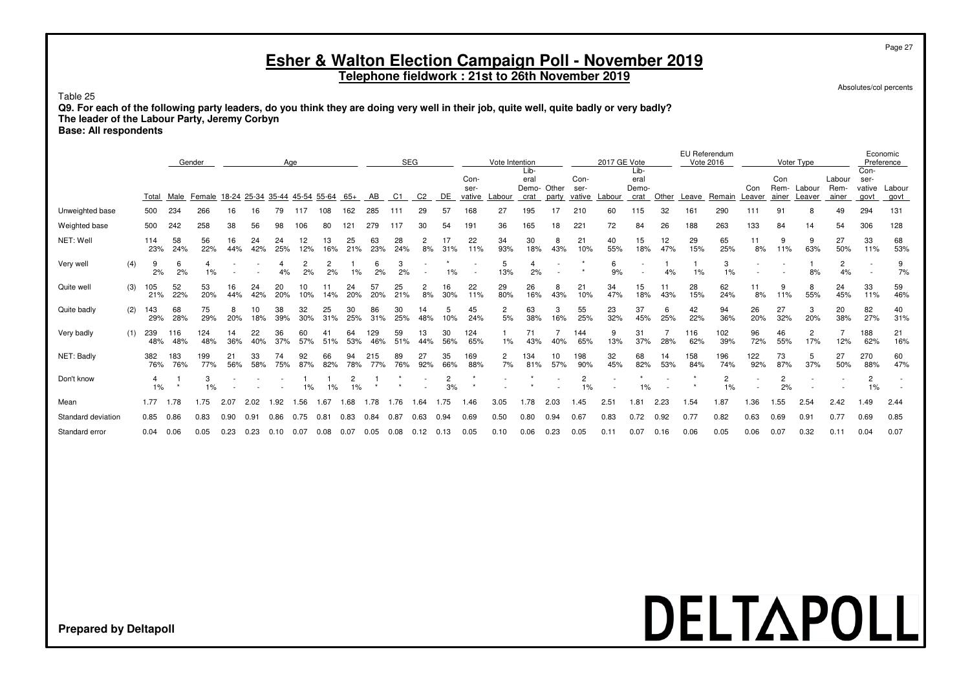**Telephone fieldwork : 21st to 26th November 2019**

Absolutes/col percents

Page 27

Table 25

**Q9. For each of the following party leaders, do you think they are doing very well in their job, quite well, quite badly or very badly? The leader of the Labour Party, Jeremy Corbyn**

**Base: All respondents**

|                    |     |            |            | Gender                               |           |           |           | Age       |           |           |            | <b>SEG</b> |           |                      |                | Vote Intention       |                    |           |                      | 2017 GE Vote  |                          |           | EU Referendum<br>Vote 2016 |                      |                          |                      | Voter Type            |                |                | Economic<br>Preference |
|--------------------|-----|------------|------------|--------------------------------------|-----------|-----------|-----------|-----------|-----------|-----------|------------|------------|-----------|----------------------|----------------|----------------------|--------------------|-----------|----------------------|---------------|--------------------------|-----------|----------------------------|----------------------|--------------------------|----------------------|-----------------------|----------------|----------------|------------------------|
|                    |     |            |            |                                      |           |           |           |           |           |           |            |            |           |                      |                |                      | Lib-               |           |                      |               | Lib-                     |           |                            |                      |                          |                      |                       |                | Con-           |                        |
|                    |     |            |            |                                      |           |           |           |           |           |           |            |            |           |                      | Con-           |                      | eral<br>Demo-Other |           | Con-                 |               | eral                     |           |                            |                      |                          | Con<br>Rem-          | Labour                | Labour<br>Rem- | ser-           |                        |
|                    |     | Total      | Male       | Female 18-24 25-34 35-44 45-54 55-64 |           |           |           |           |           | 65+       | AB         | C1         | C2        | DE                   | ser-<br>vative | -abour               | crat               | party     | ser-<br>vative       | _abour        | Demo-<br>crat            | Other     | Leave                      | Remain               | Con<br>Leaver            | ainer                | Leaver                | ainer          | vative<br>govt | Labour<br>govt         |
| Unweighted base    |     | 500        | 234        | 266                                  | 16        |           |           |           | 108       | 162       | 285        |            | 29        | 57                   | 168            | 27                   | 195                |           | 210                  | 60            | 115                      | 32        | 161                        | 290                  |                          | 91                   |                       | 49             | 294            | 131                    |
| Weighted base      |     | 500        | 242        | 258                                  | 38        | 56        | 98        | 06        | 80        | 121       | 279        |            |           | 54                   | 191            | 36                   | 165                | 18        | 221                  | 72            | 84                       | 26        | 188                        | 263                  | 133                      | 84                   | 14                    | 54             | 306            | 128                    |
| NET: Well          |     | 114<br>23% | 58<br>24%  | 56<br>22%                            | 16<br>44% | 24<br>42% | 24<br>25% | 12<br>12% | 13<br>16% | 25<br>21% | 63<br>23%  | 28<br>24%  | 2<br>8%   | 31%                  | 22<br>11%      | 34<br>93%            | 30<br>18%          | 8<br>43%  | 21<br>10%            | 40<br>55%     | 15<br>18%                | 12<br>47% | 29<br>15%                  | 65<br>25%            | 11<br>8%                 | 9<br>11%             | 9<br>63%              | 27<br>50%      | 33<br>11%      | 68<br>53%              |
| Very well          | (4) | 9<br>2%    | 6<br>2%    | 1%                                   |           |           |           | 2<br>2%   | 2<br>2%   | $1\%$     | 6<br>2%    | 2%         |           | 1%                   |                | 5<br>13%             | 2%                 |           |                      | 6<br>9%       | $\overline{\phantom{a}}$ | 4%        | 1%                         | 3<br>1%              |                          |                      | 8%                    | 2<br>4%        |                | 9<br>7%                |
| Quite well         | (3) | 105<br>21% | 52<br>22%  | 53<br>20%                            | 16<br>44% | 24<br>42% | 20<br>20% | 10<br>10% | 11<br>14% | 24<br>20% | 57<br>20%  | 25<br>21%  | 2<br>8%   | 16<br>30%            | 22<br>11%      | 29<br>80%            | 26<br>16%          | 8<br>43%  | 21<br>10%            | 34<br>47%     | 15<br>18%                | 11<br>43% | 28<br>15%                  | 62<br>24%            | 11<br>8%                 | 11%                  | 8<br>55%              | 24<br>45%      | 33<br>11%      | 59<br>46%              |
| Quite badly        | (2) | 143<br>29% | 68<br>28%  | 75<br>29%                            | 20%       | 18%       | 38<br>39% | 32<br>30% | 25<br>31% | 30<br>25% | 86<br>31%  | 30<br>25%  | 14<br>48% | 5<br>10%             | 45<br>24%      | $\overline{c}$<br>5% | 63<br>38%          | 3<br>16%  | 55<br>25%            | 23<br>32%     | 37<br>45%                | 6<br>25%  | 42<br>22%                  | 94<br>36%            | 26<br>20%                | 27<br>32%            | 3<br>20%              | 20<br>38%      | 82<br>27%      | 40<br>31%              |
| Very badly         | (1) | 239<br>48% | 116<br>48% | 124<br>48%                           | 14<br>36% | 22<br>40% | 36<br>37% | 60<br>57% | 51%       | 64<br>53% | 129<br>46% | 59<br>51%  | 13<br>44% | 30<br>56%            | 124<br>65%     | 1%                   | 71<br>43%          | 40%       | 144<br>65%           | 9<br>13%      | 31<br>37%                | 28%       | 116<br>62%                 | 102<br>39%           | 96<br>72%                | 46<br>55%            | $\overline{c}$<br>17% | 12%            | 188<br>62%     | 21<br>16%              |
| NET: Badly         |     | 382<br>76% | 183<br>76% | 199<br>77%                           | 21<br>56% | 33<br>58% | 75%       | 92<br>87% | 66<br>82% | 94<br>78% | 215<br>77% | 89<br>76%  | 27<br>92% | 35<br>66%            | 169<br>88%     | 2<br>7%              | 134<br>81%         | 10<br>57% | 198<br>90%           | 32<br>45%     | 68<br>82%                | 14<br>53% | 158<br>84%                 | 196<br>74%           | 122<br>92%               | 73<br>87%            | 5<br>37%              | 27<br>50%      | 270<br>88%     | 60<br>47%              |
| Don't know         |     | 4<br>1%    |            | 3<br>1%                              |           |           |           | $1\%$     | 1%        | 2<br>1%   |            |            |           | $\overline{c}$<br>3% |                |                      |                    |           | $\overline{c}$<br>1% |               | 1%                       |           |                            | $\overline{2}$<br>1% | $\overline{\phantom{a}}$ | $\overline{c}$<br>2% |                       |                | $\overline{2}$ |                        |
| Mean               |     | 1.77       | 1.78       | 1.75                                 | 2.07      | 2.02      | .92       | .56       | .67       | .68       | 1.78       | 1.76       | l.64      | 1.75                 | 1.46           | 3.05                 | 1.78               | 2.03      | 1.45                 | $2.5^{\circ}$ | $1.8^{\circ}$            | 2.23      | .54                        | 1.87                 | 1.36                     | .55                  | 2.54                  | 2.42           | 1.49           | 2.44                   |
| Standard deviation |     | 0.85       | 0.86       | 0.83                                 | 0.90      | 0.91      | 0.86      | 0.75      | 0.81      | 0.83      | 0.84       | 0.87       | 0.63      | 0.94                 | 0.69           | 0.50                 | 0.80               | 0.94      | 0.67                 | 0.83          | 0.72                     | 0.92      | 0.77                       | 0.82                 | 0.63                     | 0.69                 | 0.91                  | 0.77           | 0.69           | 0.85                   |
| Standard error     |     | 0.04       | 0.06       | 0.05                                 | 0.23      | 0.23      | 0.10      | 0.07      | 0.08      | 0.07      | 0.05       | 0.08       | 0.12      | 0.13                 | 0.05           | 0.10                 | 0.06               | 0.23      | 0.05                 | 0.11          | 0.07                     | 0.16      | 0.06                       | 0.05                 | 0.06                     | 0.07                 | 0.32                  | 0.11           | 0.04           | 0.07                   |

## DELTAPOLL